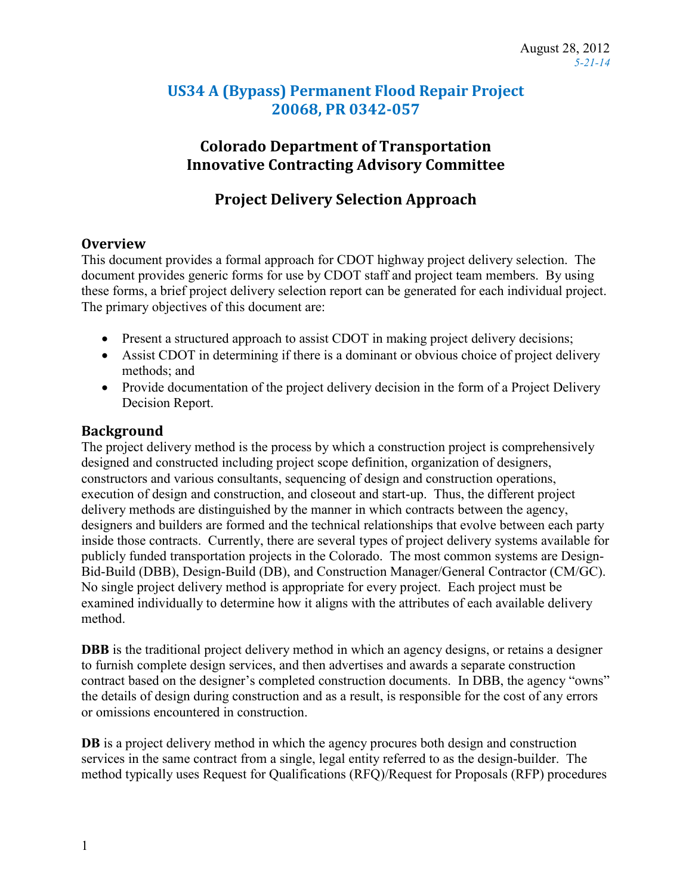## **US34 A (Bypass) Permanent Flood Repair Project 20068, PR 0342-057**

## **Colorado Department of Transportation Innovative Contracting Advisory Committee**

## **Project Delivery Selection Approach**

## **Overview**

This document provides a formal approach for CDOT highway project delivery selection. The document provides generic forms for use by CDOT staff and project team members. By using these forms, a brief project delivery selection report can be generated for each individual project. The primary objectives of this document are:

- Present a structured approach to assist CDOT in making project delivery decisions;
- Assist CDOT in determining if there is a dominant or obvious choice of project delivery methods; and
- Provide documentation of the project delivery decision in the form of a Project Delivery Decision Report.

## **Background**

The project delivery method is the process by which a construction project is comprehensively designed and constructed including project scope definition, organization of designers, constructors and various consultants, sequencing of design and construction operations, execution of design and construction, and closeout and start-up. Thus, the different project delivery methods are distinguished by the manner in which contracts between the agency, designers and builders are formed and the technical relationships that evolve between each party inside those contracts. Currently, there are several types of project delivery systems available for publicly funded transportation projects in the Colorado. The most common systems are Design-Bid-Build (DBB), Design-Build (DB), and Construction Manager/General Contractor (CM/GC). No single project delivery method is appropriate for every project. Each project must be examined individually to determine how it aligns with the attributes of each available delivery method.

**DBB** is the traditional project delivery method in which an agency designs, or retains a designer to furnish complete design services, and then advertises and awards a separate construction contract based on the designer's completed construction documents. In DBB, the agency "owns" the details of design during construction and as a result, is responsible for the cost of any errors or omissions encountered in construction.

**DB** is a project delivery method in which the agency procures both design and construction services in the same contract from a single, legal entity referred to as the design-builder. The method typically uses Request for Qualifications (RFQ)/Request for Proposals (RFP) procedures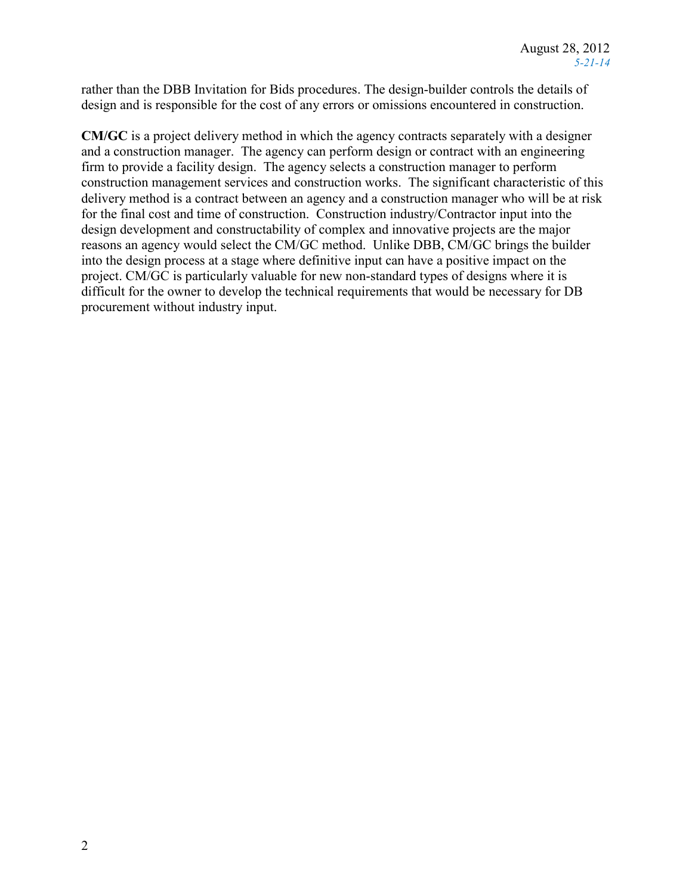rather than the DBB Invitation for Bids procedures. The design-builder controls the details of design and is responsible for the cost of any errors or omissions encountered in construction.

**CM/GC** is a project delivery method in which the agency contracts separately with a designer and a construction manager. The agency can perform design or contract with an engineering firm to provide a facility design. The agency selects a construction manager to perform construction management services and construction works. The significant characteristic of this delivery method is a contract between an agency and a construction manager who will be at risk for the final cost and time of construction. Construction industry/Contractor input into the design development and constructability of complex and innovative projects are the major reasons an agency would select the CM/GC method. Unlike DBB, CM/GC brings the builder into the design process at a stage where definitive input can have a positive impact on the project. CM/GC is particularly valuable for new non-standard types of designs where it is difficult for the owner to develop the technical requirements that would be necessary for DB procurement without industry input.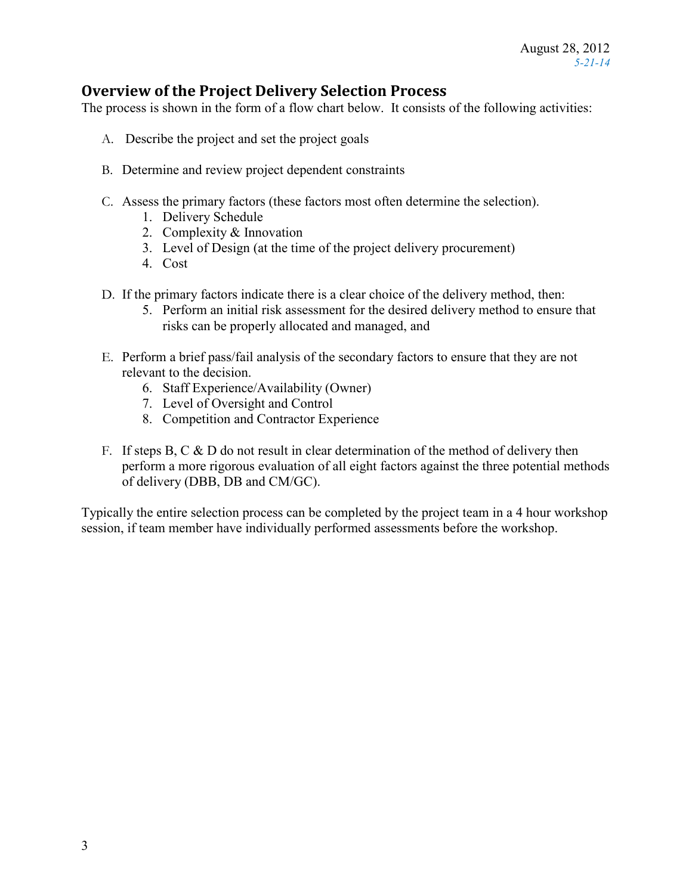## **Overview of the Project Delivery Selection Process**

The process is shown in the form of a flow chart below. It consists of the following activities:

- A. Describe the project and set the project goals
- B. Determine and review project dependent constraints
- C. Assess the primary factors (these factors most often determine the selection).
	- 1. Delivery Schedule
	- 2. Complexity & Innovation
	- 3. Level of Design (at the time of the project delivery procurement)
	- 4. Cost
- D. If the primary factors indicate there is a clear choice of the delivery method, then:
	- 5. Perform an initial risk assessment for the desired delivery method to ensure that risks can be properly allocated and managed, and
- E. Perform a brief pass/fail analysis of the secondary factors to ensure that they are not relevant to the decision.
	- 6. Staff Experience/Availability (Owner)
	- 7. Level of Oversight and Control
	- 8. Competition and Contractor Experience
- F. If steps B, C  $\&$  D do not result in clear determination of the method of delivery then perform a more rigorous evaluation of all eight factors against the three potential methods of delivery (DBB, DB and CM/GC).

Typically the entire selection process can be completed by the project team in a 4 hour workshop session, if team member have individually performed assessments before the workshop.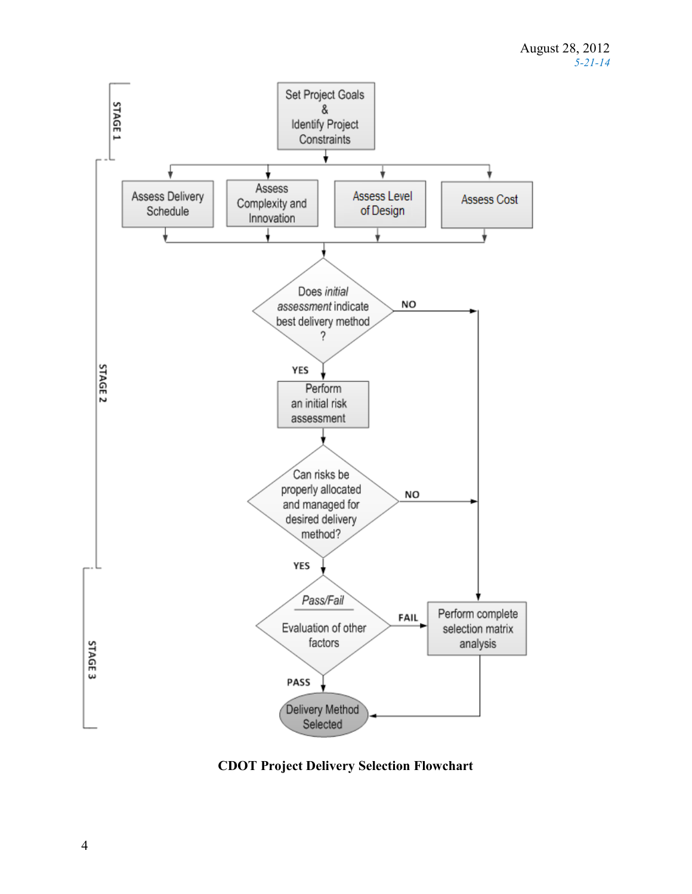

**CDOT Project Delivery Selection Flowchart**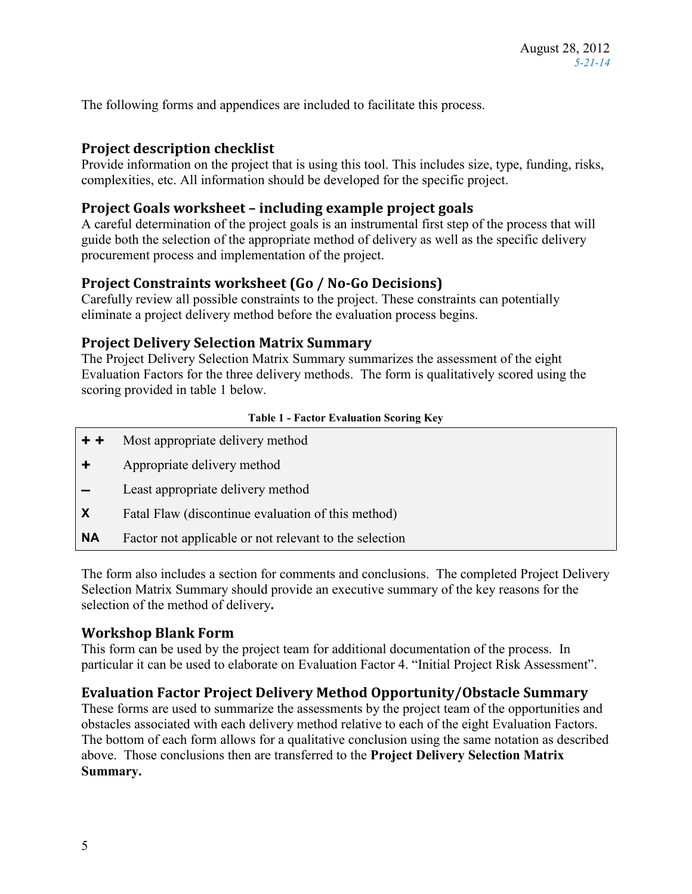The following forms and appendices are included to facilitate this process.

## **Project description checklist**

Provide information on the project that is using this tool. This includes size, type, funding, risks, complexities, etc. All information should be developed for the specific project.

## **Project Goals worksheet – including example project goals**

A careful determination of the project goals is an instrumental first step of the process that will guide both the selection of the appropriate method of delivery as well as the specific delivery procurement process and implementation of the project.

## **Project Constraints worksheet (Go / No-Go Decisions)**

Carefully review all possible constraints to the project. These constraints can potentially eliminate a project delivery method before the evaluation process begins.

## **Project Delivery Selection Matrix Summary**

The Project Delivery Selection Matrix Summary summarizes the assessment of the eight Evaluation Factors for the three delivery methods. The form is qualitatively scored using the scoring provided in table 1 below.

#### **Table 1 - Factor Evaluation Scoring Key**

- **+ +** Most appropriate delivery method
- **+** Appropriate delivery method
- **–** Least appropriate delivery method
- **X** Fatal Flaw (discontinue evaluation of this method)
- **NA** Factor not applicable or not relevant to the selection

The form also includes a section for comments and conclusions.The completed Project Delivery Selection Matrix Summary should provide an executive summary of the key reasons for the selection of the method of delivery**.**

## **Workshop Blank Form**

This form can be used by the project team for additional documentation of the process. In particular it can be used to elaborate on Evaluation Factor 4. "Initial Project Risk Assessment".

## **Evaluation Factor Project Delivery Method Opportunity/Obstacle Summary**

These forms are used to summarize the assessments by the project team of the opportunities and obstacles associated with each delivery method relative to each of the eight Evaluation Factors. The bottom of each form allows for a qualitative conclusion using the same notation as described above. Those conclusions then are transferred to the **Project Delivery Selection Matrix Summary.**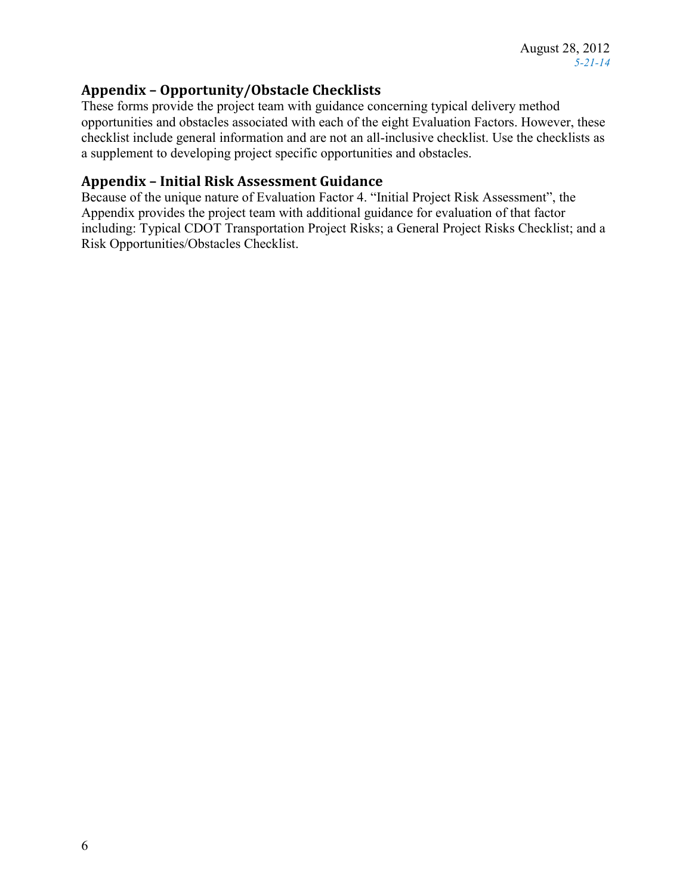## **Appendix – Opportunity/Obstacle Checklists**

These forms provide the project team with guidance concerning typical delivery method opportunities and obstacles associated with each of the eight Evaluation Factors. However, these checklist include general information and are not an all-inclusive checklist. Use the checklists as a supplement to developing project specific opportunities and obstacles.

## **Appendix – Initial Risk Assessment Guidance**

Because of the unique nature of Evaluation Factor 4. "Initial Project Risk Assessment", the Appendix provides the project team with additional guidance for evaluation of that factor including: Typical CDOT Transportation Project Risks; a General Project Risks Checklist; and a Risk Opportunities/Obstacles Checklist.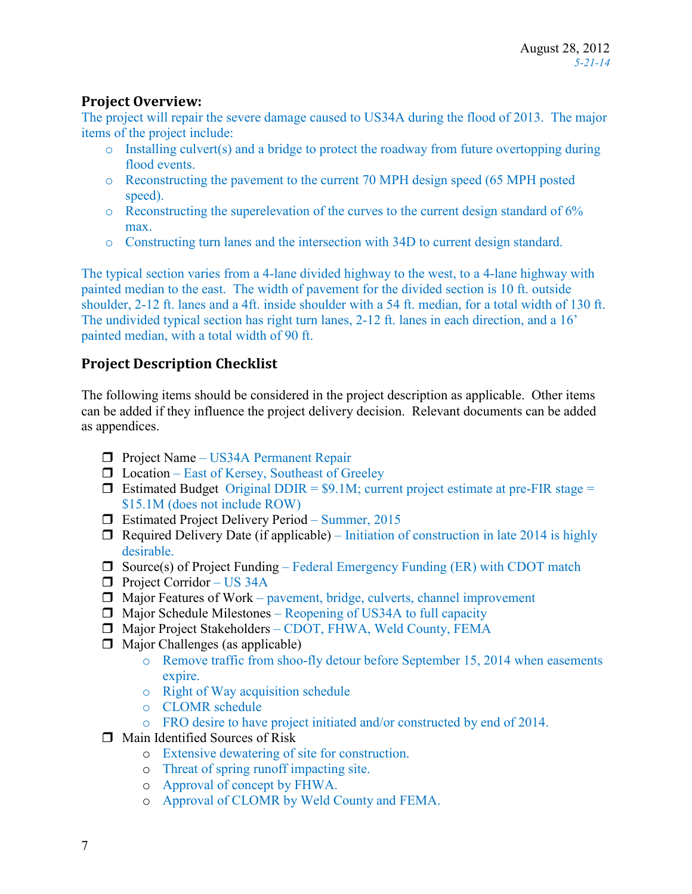## **Project Overview:**

The project will repair the severe damage caused to US34A during the flood of 2013. The major items of the project include:

- o Installing culvert(s) and a bridge to protect the roadway from future overtopping during flood events.
- o Reconstructing the pavement to the current 70 MPH design speed (65 MPH posted speed).
- o Reconstructing the superelevation of the curves to the current design standard of 6% max.
- o Constructing turn lanes and the intersection with 34D to current design standard.

The typical section varies from a 4-lane divided highway to the west, to a 4-lane highway with painted median to the east. The width of pavement for the divided section is 10 ft. outside shoulder, 2-12 ft. lanes and a 4ft. inside shoulder with a 54 ft. median, for a total width of 130 ft. The undivided typical section has right turn lanes, 2-12 ft. lanes in each direction, and a 16' painted median, with a total width of 90 ft.

## **Project Description Checklist**

The following items should be considered in the project description as applicable. Other items can be added if they influence the project delivery decision. Relevant documents can be added as appendices.

- **Project Name US34A Permanent Repair**
- $\Box$  Location East of Kersey, Southeast of Greeley
- **Estimated Budget** Original DDIR =  $$9.1M$ ; current project estimate at pre-FIR stage = \$15.1M (does not include ROW)
- $\Box$  Estimated Project Delivery Period Summer, 2015
- $\Box$  Required Delivery Date (if applicable) Initiation of construction in late 2014 is highly desirable.
- $\Box$  Source(s) of Project Funding Federal Emergency Funding (ER) with CDOT match
- $\Box$  Project Corridor US 34A
- $\Box$  Major Features of Work pavement, bridge, culverts, channel improvement
- $\Box$  Major Schedule Milestones Reopening of US34A to full capacity
- Major Project Stakeholders CDOT, FHWA, Weld County, FEMA
- $\Box$  Major Challenges (as applicable)
	- o Remove traffic from shoo-fly detour before September 15, 2014 when easements expire.
	- o Right of Way acquisition schedule
	- o CLOMR schedule
	- o FRO desire to have project initiated and/or constructed by end of 2014.
- $\Box$  Main Identified Sources of Risk
	- o Extensive dewatering of site for construction.
	- o Threat of spring runoff impacting site.
	- o Approval of concept by FHWA.
	- o Approval of CLOMR by Weld County and FEMA.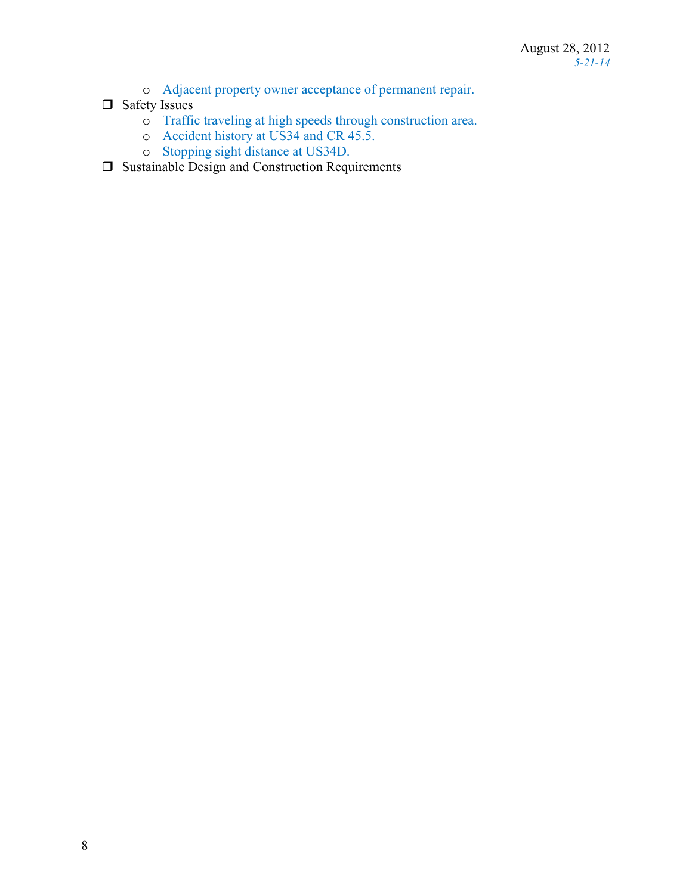- o Adjacent property owner acceptance of permanent repair.
- $\Box$  Safety Issues
	- o Traffic traveling at high speeds through construction area.
	- o Accident history at US34 and CR 45.5.
	- o Stopping sight distance at US34D.
- $\Box$  Sustainable Design and Construction Requirements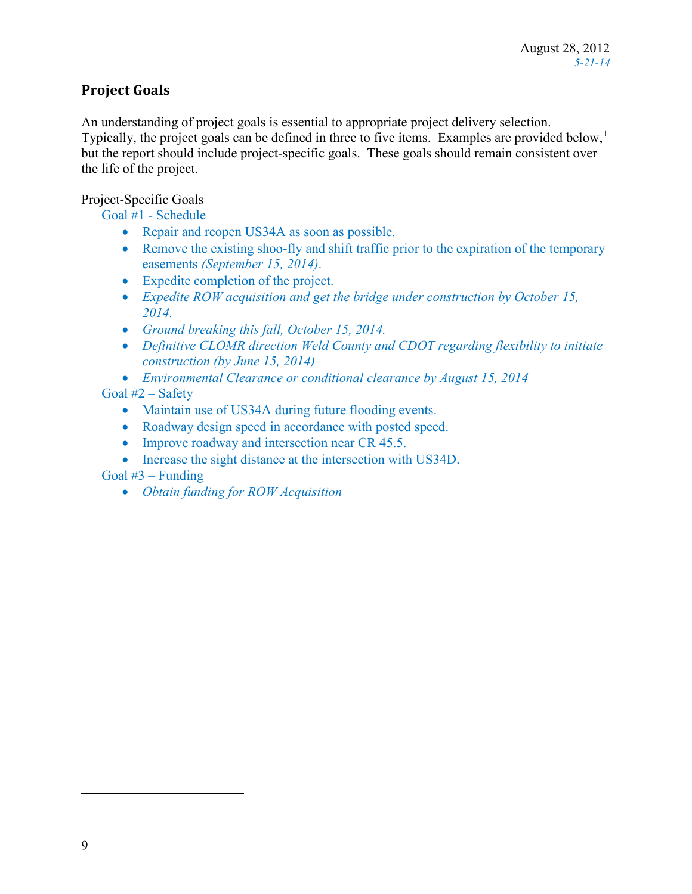## **Project Goals**

An understanding of project goals is essential to appropriate project delivery selection. Typically, the project goals can be defined in three to five items. Examples are provided below, $<sup>1</sup>$  $<sup>1</sup>$  $<sup>1</sup>$ </sup> but the report should include project-specific goals. These goals should remain consistent over the life of the project.

### Project-Specific Goals

Goal #1 - Schedule

- Repair and reopen US34A as soon as possible.
- Remove the existing shoo-fly and shift traffic prior to the expiration of the temporary easements *(September 15, 2014)*.
- Expedite completion of the project.
- *Expedite ROW acquisition and get the bridge under construction by October 15, 2014.*
- *Ground breaking this fall, October 15, 2014.*
- *Definitive CLOMR direction Weld County and CDOT regarding flexibility to initiate construction (by June 15, 2014)*
- *Environmental Clearance or conditional clearance by August 15, 2014*

### Goal #2 – Safety

- Maintain use of US34A during future flooding events.
- Roadway design speed in accordance with posted speed.
- Improve roadway and intersection near CR 45.5.
- Increase the sight distance at the intersection with US34D.

## Goal  $#3$  – Funding

• *Obtain funding for ROW Acquisition* 

<span id="page-8-0"></span> $\overline{a}$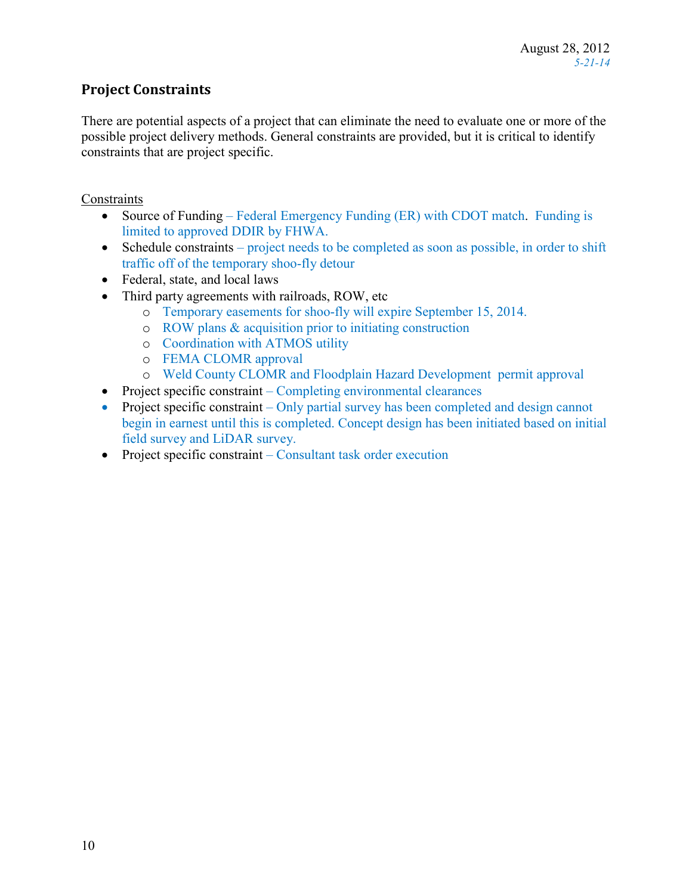## **Project Constraints**

There are potential aspects of a project that can eliminate the need to evaluate one or more of the possible project delivery methods. General constraints are provided, but it is critical to identify constraints that are project specific.

### **Constraints**

- Source of Funding Federal Emergency Funding (ER) with CDOT match. Funding is limited to approved DDIR by FHWA.
- Schedule constraints project needs to be completed as soon as possible, in order to shift traffic off of the temporary shoo-fly detour
- Federal, state, and local laws
- Third party agreements with railroads, ROW, etc
	- o Temporary easements for shoo-fly will expire September 15, 2014.
	- o ROW plans & acquisition prior to initiating construction
	- o Coordination with ATMOS utility
	- o FEMA CLOMR approval
	- o Weld County CLOMR and Floodplain Hazard Development permit approval
- Project specific constraint Completing environmental clearances
- Project specific constraint Only partial survey has been completed and design cannot begin in earnest until this is completed. Concept design has been initiated based on initial field survey and LiDAR survey.
- Project specific constraint Consultant task order execution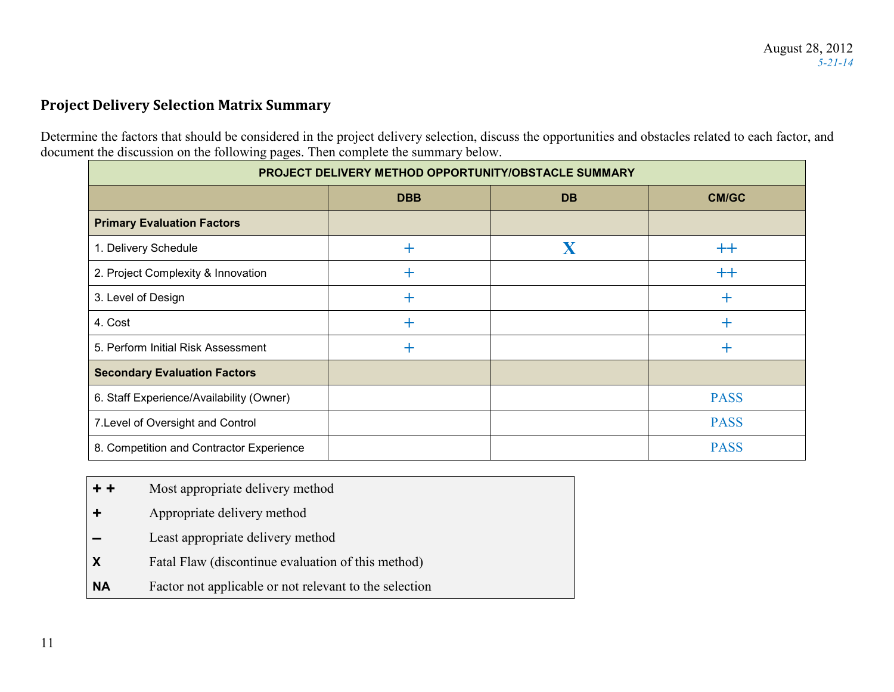## **Project Delivery Selection Matrix Summary**

Determine the factors that should be considered in the project delivery selection, discuss the opportunities and obstacles related to each factor, and document the discussion on the following pages. Then complete the summary below.

| PROJECT DELIVERY METHOD OPPORTUNITY/OBSTACLE SUMMARY |            |           |              |
|------------------------------------------------------|------------|-----------|--------------|
|                                                      | <b>DBB</b> | <b>DB</b> | <b>CM/GC</b> |
| <b>Primary Evaluation Factors</b>                    |            |           |              |
| 1. Delivery Schedule                                 | $+$        | X         | $++$         |
| 2. Project Complexity & Innovation                   | $\pm$      |           | $^{++}$      |
| 3. Level of Design                                   | $\pm$      |           | $\pm$        |
| 4. Cost                                              | ┿          |           | $\pm$        |
| 5. Perform Initial Risk Assessment                   | $\pm$      |           | $\pm$        |
| <b>Secondary Evaluation Factors</b>                  |            |           |              |
| 6. Staff Experience/Availability (Owner)             |            |           | <b>PASS</b>  |
| 7. Level of Oversight and Control                    |            |           | <b>PASS</b>  |
| 8. Competition and Contractor Experience             |            |           | <b>PASS</b>  |

- **+ +** Most appropriate delivery method
- **+** Appropriate delivery method
- **–** Least appropriate delivery method
- **X Fatal Flaw (discontinue evaluation of this method)**
- **NA** Factor not applicable or not relevant to the selection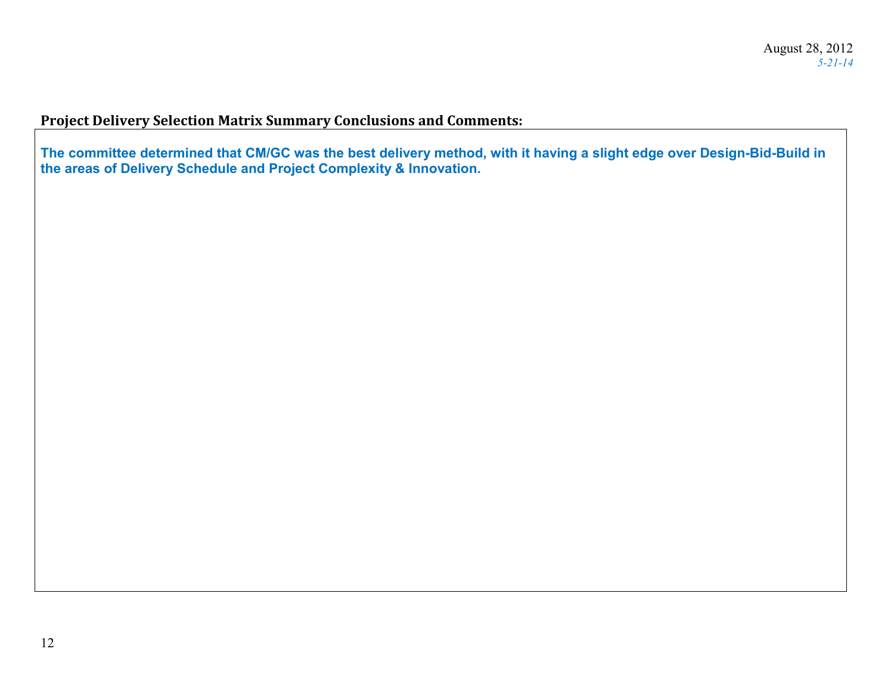## **Project Delivery Selection Matrix Summary Conclusions and Comments:**

**The committee determined that CM/GC was the best delivery method, with it having a slight edge over Design-Bid-Build in the areas of Delivery Schedule and Project Complexity & Innovation.**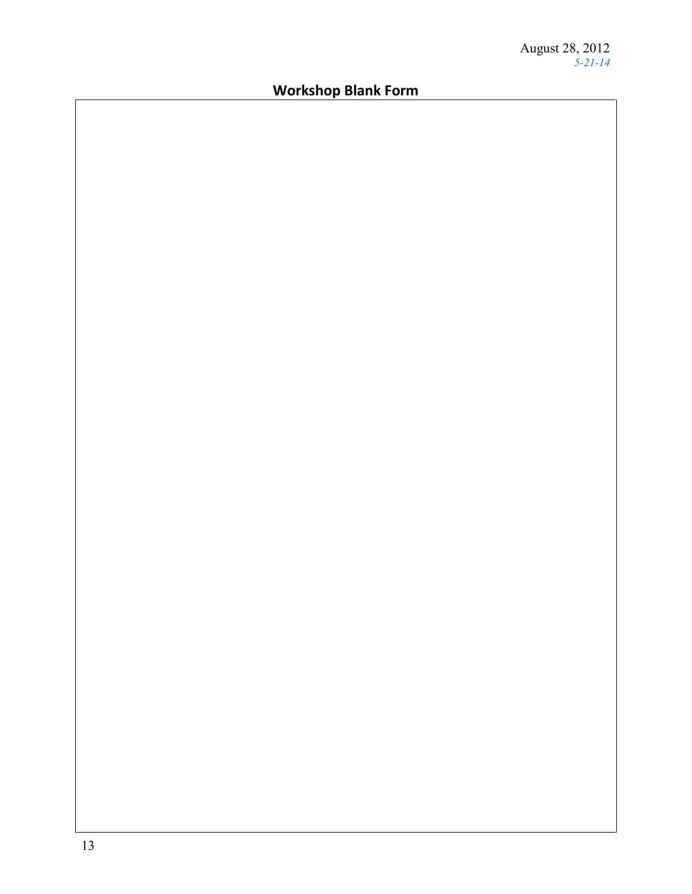# **Workshop Blank Form**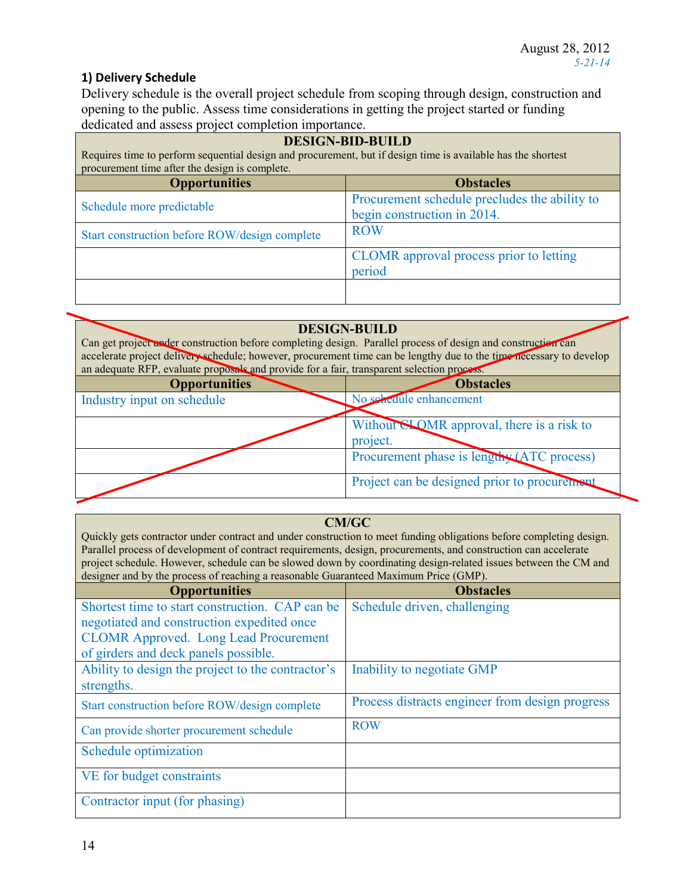## **1) Delivery Schedule**

Delivery schedule is the overall project schedule from scoping through design, construction and opening to the public. Assess time considerations in getting the project started or funding dedicated and assess project completion importance.

| <b>DESIGN-BID-BUILD</b><br>Requires time to perform sequential design and procurement, but if design time is available has the shortest<br>procurement time after the design is complete. |                                                                              |  |
|-------------------------------------------------------------------------------------------------------------------------------------------------------------------------------------------|------------------------------------------------------------------------------|--|
| <b>Opportunities</b><br><b>Obstacles</b>                                                                                                                                                  |                                                                              |  |
| Schedule more predictable                                                                                                                                                                 | Procurement schedule precludes the ability to<br>begin construction in 2014. |  |
| Start construction before ROW/design complete                                                                                                                                             | <b>ROW</b>                                                                   |  |
|                                                                                                                                                                                           | CLOMR approval process prior to letting<br>period                            |  |
|                                                                                                                                                                                           |                                                                              |  |

| <b>DESIGN-BUILD</b><br>Can get project under construction before completing design. Parallel process of design and construction can<br>accelerate project delivery schedule; however, procurement time can be lengthy due to the time necessary to develop<br>an adequate RFP, evaluate proposals and provide for a fair, transparent selection process. |                                                        |  |
|----------------------------------------------------------------------------------------------------------------------------------------------------------------------------------------------------------------------------------------------------------------------------------------------------------------------------------------------------------|--------------------------------------------------------|--|
| <b>Opportunities</b>                                                                                                                                                                                                                                                                                                                                     | <b>Obstacles</b>                                       |  |
| Industry input on schedule                                                                                                                                                                                                                                                                                                                               | No schedule enhancement                                |  |
|                                                                                                                                                                                                                                                                                                                                                          | Without SLOMR approval, there is a risk to<br>project. |  |
|                                                                                                                                                                                                                                                                                                                                                          | Procurement phase is lengthy (ATC process)             |  |
|                                                                                                                                                                                                                                                                                                                                                          | Project can be designed prior to procurement           |  |

### **CM/GC**

Quickly gets contractor under contract and under construction to meet funding obligations before completing design. Parallel process of development of contract requirements, design, procurements, and construction can accelerate project schedule. However, schedule can be slowed down by coordinating design-related issues between the CM and designer and by the process of reaching a reasonable Guaranteed Maximum Price (GMP).

| $\alpha$ orgher and $\sigma$ , and process or reaching a reasonable coanameted maximum rine (GMT). |                                                 |  |
|----------------------------------------------------------------------------------------------------|-------------------------------------------------|--|
| <b>Opportunities</b>                                                                               | <b>Obstacles</b>                                |  |
| Shortest time to start construction. CAP can be                                                    | Schedule driven, challenging                    |  |
| negotiated and construction expedited once                                                         |                                                 |  |
| <b>CLOMR Approved.</b> Long Lead Procurement                                                       |                                                 |  |
| of girders and deck panels possible.                                                               |                                                 |  |
| Ability to design the project to the contractor's                                                  | Inability to negotiate GMP                      |  |
| strengths.                                                                                         |                                                 |  |
| Start construction before ROW/design complete                                                      | Process distracts engineer from design progress |  |
| Can provide shorter procurement schedule                                                           | <b>ROW</b>                                      |  |
| Schedule optimization                                                                              |                                                 |  |
| VE for budget constraints                                                                          |                                                 |  |
| Contractor input (for phasing)                                                                     |                                                 |  |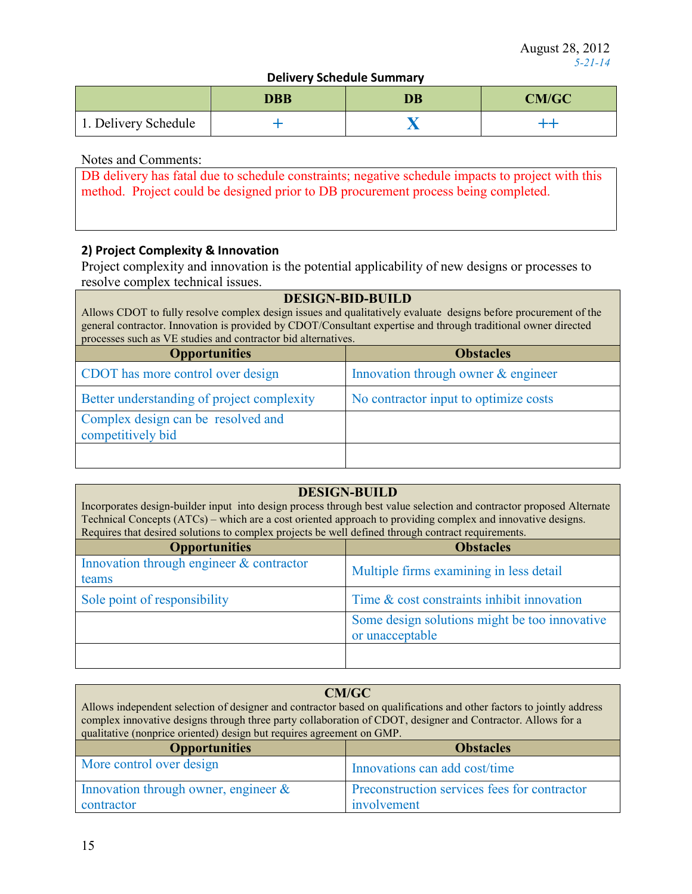### **Delivery Schedule Summary**

|                      | DBB | DB | <b>CM/GC</b> |
|----------------------|-----|----|--------------|
| 1. Delivery Schedule |     |    |              |

### Notes and Comments:

| DB delivery has fatal due to schedule constraints; negative schedule impacts to project with this |
|---------------------------------------------------------------------------------------------------|
| method. Project could be designed prior to DB procurement process being completed.                |

### **2) Project Complexity & Innovation**

Project complexity and innovation is the potential applicability of new designs or processes to resolve complex technical issues.

### **DESIGN-BID-BUILD**

Allows CDOT to fully resolve complex design issues and qualitatively evaluate designs before procurement of the general contractor. Innovation is provided by CDOT/Consultant expertise and through traditional owner directed processes such as VE studies and contractor bid alternatives.

| <b>Opportunities</b>                                    | <b>Obstacles</b>                      |
|---------------------------------------------------------|---------------------------------------|
| CDOT has more control over design                       | Innovation through owner & engineer   |
| Better understanding of project complexity              | No contractor input to optimize costs |
| Complex design can be resolved and<br>competitively bid |                                       |
|                                                         |                                       |

#### **DESIGN-BUILD**

Incorporates design-builder input into design process through best value selection and contractor proposed Alternate Technical Concepts (ATCs) – which are a cost oriented approach to providing complex and innovative designs. Requires that desired solutions to complex projects be well defined through contract requirements.

| <b>Opportunities</b>                              | <b>Obstacles</b>                                                 |
|---------------------------------------------------|------------------------------------------------------------------|
| Innovation through engineer & contractor<br>teams | Multiple firms examining in less detail                          |
| Sole point of responsibility                      | Time & cost constraints inhibit innovation                       |
|                                                   | Some design solutions might be too innovative<br>or unacceptable |
|                                                   |                                                                  |

#### **CM/GC** Allows independent selection of designer and contractor based on qualifications and other factors to jointly address complex innovative designs through three party collaboration of CDOT, designer and Contractor. Allows for a qualitative (nonprice oriented) design but requires agreement on GMP. **Opportunities Obstacles** More control over design Innovations can add cost/time Innovation through owner, engineer & contractor Preconstruction services fees for contractor involvement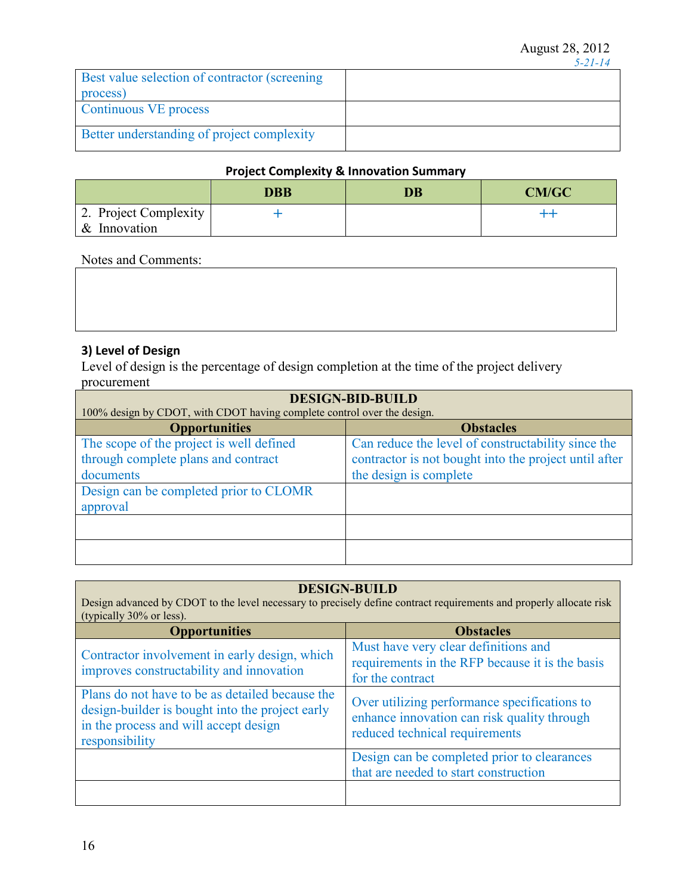|                                               | . |
|-----------------------------------------------|---|
| Best value selection of contractor (screening |   |
| process)                                      |   |
| Continuous VE process                         |   |
|                                               |   |
| Better understanding of project complexity    |   |

### **Project Complexity & Innovation Summary**

|                       | DBB | DB | <b>CM/GC</b> |
|-----------------------|-----|----|--------------|
| 2. Project Complexity |     |    |              |
| & Innovation          |     |    |              |

#### Notes and Comments:

### **3) Level of Design**

Level of design is the percentage of design completion at the time of the project delivery procurement

| <b>DESIGN-BID-BUILD</b>                                                 |  |  |
|-------------------------------------------------------------------------|--|--|
| 100% design by CDOT, with CDOT having complete control over the design. |  |  |
| <b>Obstacles</b>                                                        |  |  |
| Can reduce the level of constructability since the                      |  |  |
| contractor is not bought into the project until after                   |  |  |
| the design is complete                                                  |  |  |
|                                                                         |  |  |
|                                                                         |  |  |
|                                                                         |  |  |
|                                                                         |  |  |
|                                                                         |  |  |
|                                                                         |  |  |

#### **DESIGN-BUILD** Design advanced by CDOT to the level necessary to precisely define contract requirements and properly allocate risk (typically 30% or less). **Opportunities Obstacles** Contractor involvement in early design, which improves constructability and innovation Must have very clear definitions and requirements in the RFP because it is the basis for the contract Plans do not have to be as detailed because the design-builder is bought into the project early in the process and will accept design responsibility Over utilizing performance specifications to enhance innovation can risk quality through reduced technical requirements Design can be completed prior to clearances that are needed to start construction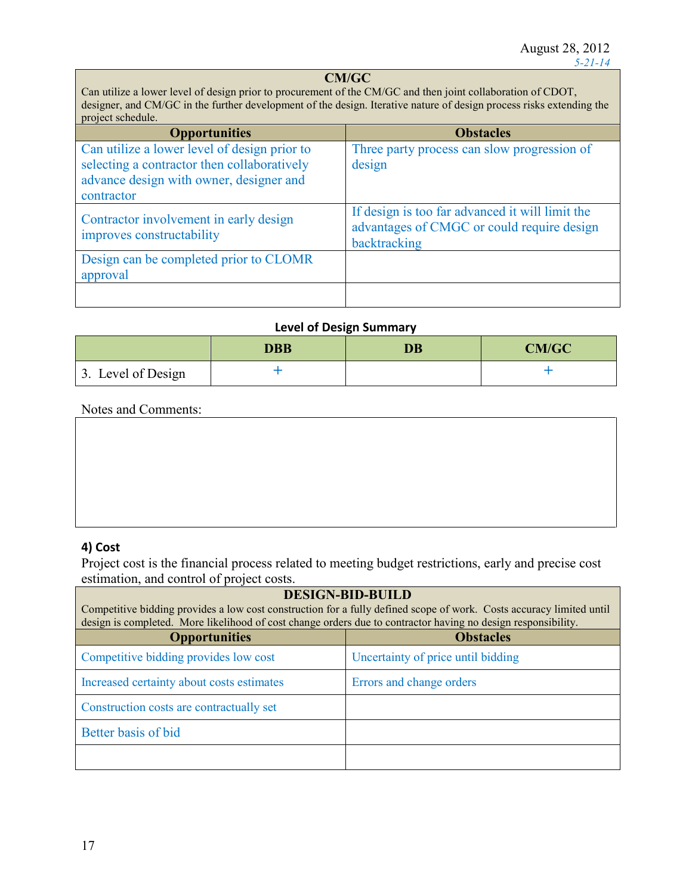## **CM/GC**

Can utilize a lower level of design prior to procurement of the CM/GC and then joint collaboration of CDOT, designer, and CM/GC in the further development of the design. Iterative nature of design process risks extending the project schedule.

| <b>Opportunities</b>                                                                                                                                 | <b>Obstacles</b>                                                                                              |
|------------------------------------------------------------------------------------------------------------------------------------------------------|---------------------------------------------------------------------------------------------------------------|
| Can utilize a lower level of design prior to<br>selecting a contractor then collaboratively<br>advance design with owner, designer and<br>contractor | Three party process can slow progression of<br>design                                                         |
| Contractor involvement in early design<br>improves constructability                                                                                  | If design is too far advanced it will limit the<br>advantages of CMGC or could require design<br>backtracking |
| Design can be completed prior to CLOMR<br>approval                                                                                                   |                                                                                                               |
|                                                                                                                                                      |                                                                                                               |

### **Level of Design Summary**

|                    | DBB | <b>DB</b> | <b>CM/GC</b> |
|--------------------|-----|-----------|--------------|
| 3. Level of Design |     |           |              |

#### Notes and Comments:

### **4) Cost**

Project cost is the financial process related to meeting budget restrictions, early and precise cost estimation, and control of project costs.

| <b>DESIGN-BID-BUILD</b><br>Competitive bidding provides a low cost construction for a fully defined scope of work. Costs accuracy limited until<br>design is completed. More likelihood of cost change orders due to contractor having no design responsibility. |                                    |  |
|------------------------------------------------------------------------------------------------------------------------------------------------------------------------------------------------------------------------------------------------------------------|------------------------------------|--|
| <b>Opportunities</b>                                                                                                                                                                                                                                             | <b>Obstacles</b>                   |  |
| Competitive bidding provides low cost                                                                                                                                                                                                                            | Uncertainty of price until bidding |  |
| Increased certainty about costs estimates                                                                                                                                                                                                                        | Errors and change orders           |  |
| Construction costs are contractually set                                                                                                                                                                                                                         |                                    |  |
| Better basis of bid                                                                                                                                                                                                                                              |                                    |  |
|                                                                                                                                                                                                                                                                  |                                    |  |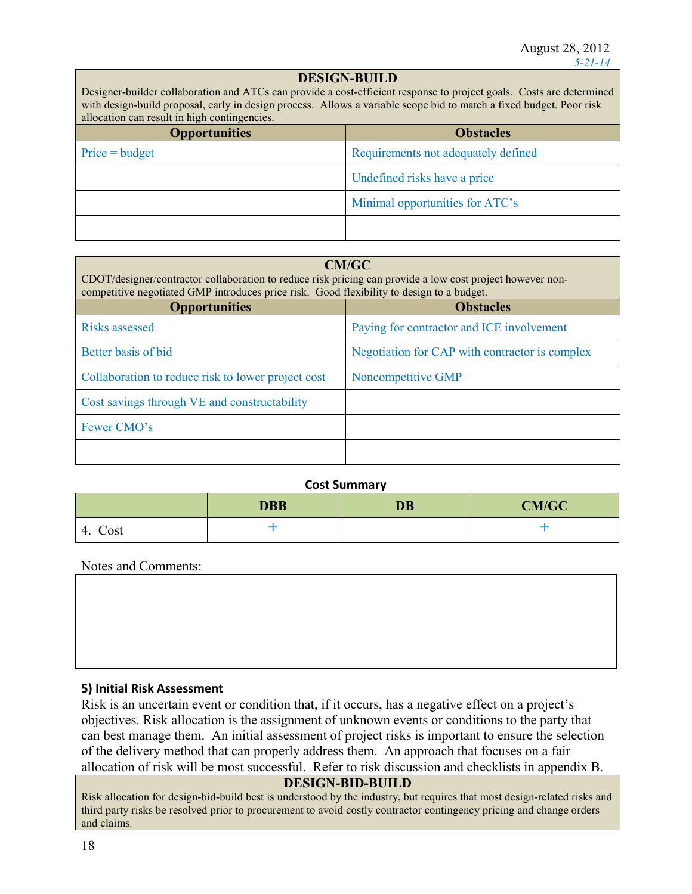### **DESIGN-BUILD**

Designer-builder collaboration and ATCs can provide a cost-efficient response to project goals. Costs are determined with design-build proposal, early in design process. Allows a variable scope bid to match a fixed budget. Poor risk allocation can result in high contingencies.

| <b>Opportunities</b> | <b>Obstacles</b>                    |
|----------------------|-------------------------------------|
| $Price = budget$     | Requirements not adequately defined |
|                      | Undefined risks have a price        |
|                      | Minimal opportunities for ATC's     |
|                      |                                     |

#### **CM/GC**

CDOT/designer/contractor collaboration to reduce risk pricing can provide a low cost project however noncompetitive negotiated GMP introduces price risk. Good flexibility to design to a budget.

| <b>Opportunities</b>                               | <b>Obstacles</b>                               |
|----------------------------------------------------|------------------------------------------------|
| Risks assessed                                     | Paying for contractor and ICE involvement      |
| Better basis of bid                                | Negotiation for CAP with contractor is complex |
| Collaboration to reduce risk to lower project cost | Noncompetitive GMP                             |
| Cost savings through VE and constructability       |                                                |
| Fewer CMO's                                        |                                                |
|                                                    |                                                |

#### **Cost Summary**

|            | <b>DBB</b> | <b>DB</b> | <b>CM/GC</b> |
|------------|------------|-----------|--------------|
| Cost<br>4. |            |           |              |

Notes and Comments:

#### **5) Initial Risk Assessment**

Risk is an uncertain event or condition that, if it occurs, has a negative effect on a project's objectives. Risk allocation is the assignment of unknown events or conditions to the party that can best manage them. An initial assessment of project risks is important to ensure the selection of the delivery method that can properly address them. An approach that focuses on a fair allocation of risk will be most successful. Refer to risk discussion and checklists in appendix B.

## **DESIGN-BID-BUILD**

Risk allocation for design-bid-build best is understood by the industry, but requires that most design-related risks and third party risks be resolved prior to procurement to avoid costly contractor contingency pricing and change orders and claims.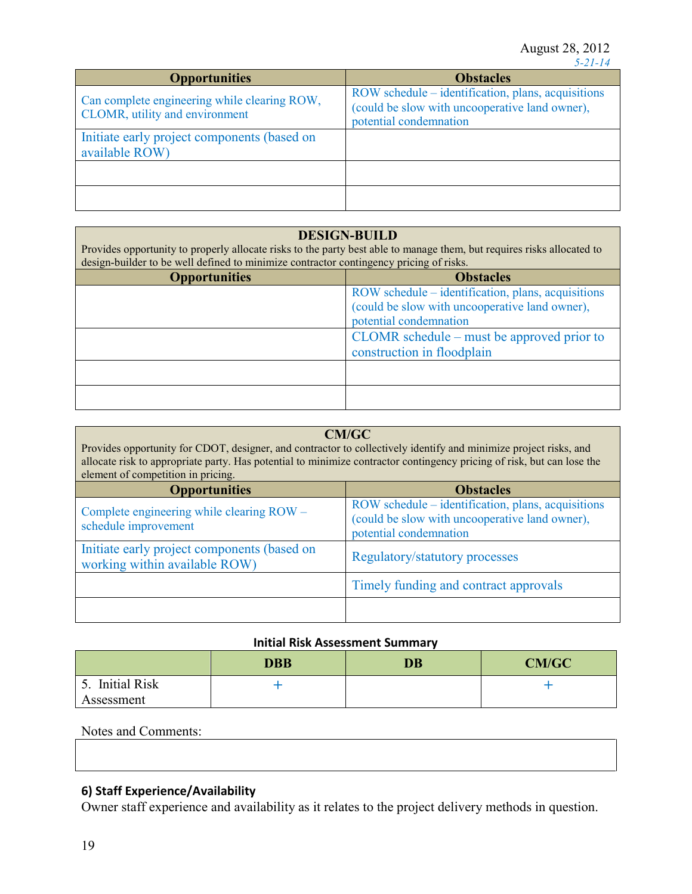| <b>Opportunities</b>                                                           | <b>Obstacles</b>                                                                                                               |
|--------------------------------------------------------------------------------|--------------------------------------------------------------------------------------------------------------------------------|
| Can complete engineering while clearing ROW,<br>CLOMR, utility and environment | ROW schedule – identification, plans, acquisitions<br>(could be slow with uncooperative land owner),<br>potential condemnation |
| Initiate early project components (based on<br>available ROW)                  |                                                                                                                                |
|                                                                                |                                                                                                                                |
|                                                                                |                                                                                                                                |

#### **DESIGN-BUILD**

Provides opportunity to properly allocate risks to the party best able to manage them, but requires risks allocated to design-builder to be well defined to minimize contractor contingency pricing of risks.

| <b>Opportunities</b> | <b>Obstacles</b>                                   |
|----------------------|----------------------------------------------------|
|                      | ROW schedule – identification, plans, acquisitions |
|                      | (could be slow with uncooperative land owner),     |
|                      | potential condemnation                             |
|                      | CLOMR schedule – must be approved prior to         |
|                      | construction in floodplain                         |
|                      |                                                    |
|                      |                                                    |
|                      |                                                    |
|                      |                                                    |

| CM/GC<br>Provides opportunity for CDOT, designer, and contractor to collectively identify and minimize project risks, and<br>allocate risk to appropriate party. Has potential to minimize contractor contingency pricing of risk, but can lose the<br>element of competition in pricing. |                                                                                                                                |  |
|-------------------------------------------------------------------------------------------------------------------------------------------------------------------------------------------------------------------------------------------------------------------------------------------|--------------------------------------------------------------------------------------------------------------------------------|--|
| <b>Opportunities</b><br><b>Obstacles</b>                                                                                                                                                                                                                                                  |                                                                                                                                |  |
| Complete engineering while clearing ROW -<br>schedule improvement                                                                                                                                                                                                                         | ROW schedule – identification, plans, acquisitions<br>(could be slow with uncooperative land owner),<br>potential condemnation |  |
| Initiate early project components (based on<br>working within available ROW)                                                                                                                                                                                                              | <b>Regulatory/statutory processes</b>                                                                                          |  |
|                                                                                                                                                                                                                                                                                           | Timely funding and contract approvals                                                                                          |  |
|                                                                                                                                                                                                                                                                                           |                                                                                                                                |  |

#### **Initial Risk Assessment Summary**

|                                 | <b>DBB</b> | <b>DB</b> | CM/GC |
|---------------------------------|------------|-----------|-------|
| <b>Initial Risk</b><br><u>.</u> |            |           |       |
| Assessment                      |            |           |       |

### Notes and Comments:

## **6) Staff Experience/Availability**

Owner staff experience and availability as it relates to the project delivery methods in question.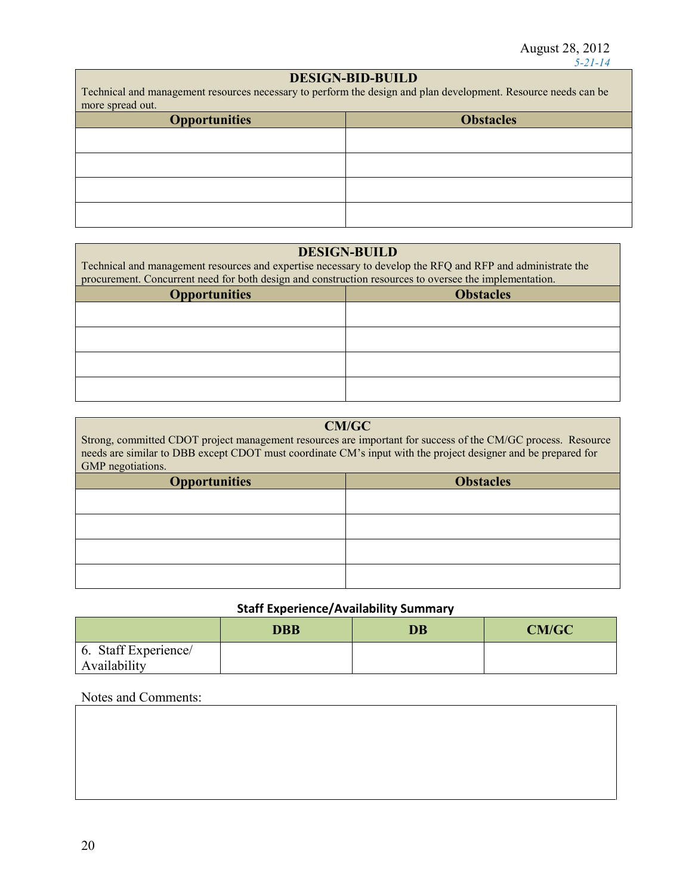## **DESIGN-BID-BUILD**

Technical and management resources necessary to perform the design and plan development. Resource needs can be more spread out.

| more opreau out.     |                  |  |
|----------------------|------------------|--|
| <b>Opportunities</b> | <b>Obstacles</b> |  |
|                      |                  |  |
|                      |                  |  |
|                      |                  |  |
|                      |                  |  |
|                      |                  |  |

## **DESIGN-BUILD**

| Technical and management resources and expertise necessary to develop the RFQ and RFP and administrate the |  |
|------------------------------------------------------------------------------------------------------------|--|
| procurement. Concurrent need for both design and construction resources to oversee the implementation.     |  |

| <b>Opportunities</b> | <b>Obstacles</b> |
|----------------------|------------------|
|                      |                  |
|                      |                  |
|                      |                  |
|                      |                  |
|                      |                  |

| Strong, committed CDOT project management resources are important for success of the CM/GC process. Resource  |                                         |  |  |
|---------------------------------------------------------------------------------------------------------------|-----------------------------------------|--|--|
| needs are similar to DBB except CDOT must coordinate CM's input with the project designer and be prepared for |                                         |  |  |
| GMP negotiations.                                                                                             |                                         |  |  |
| $\mathbf{\Omega}$ and a set of $\mathbf{\Omega}$ and $\mathbf{\Omega}$                                        | $\bigcap$ $\bigcup$ $\bigcup$ $\bigcup$ |  |  |

| <b>Opportunities</b> | <b>Obstacles</b> |  |
|----------------------|------------------|--|
|                      |                  |  |
|                      |                  |  |
|                      |                  |  |
|                      |                  |  |
|                      |                  |  |
|                      |                  |  |
|                      |                  |  |
|                      |                  |  |

## **Staff Experience/Availability Summary**

|                      | <b>DBB</b> | $\overline{\mathbf{D}}\mathbf{B}$ | <b>CM/GC</b> |
|----------------------|------------|-----------------------------------|--------------|
| 6. Staff Experience/ |            |                                   |              |
| Availability         |            |                                   |              |

## Notes and Comments: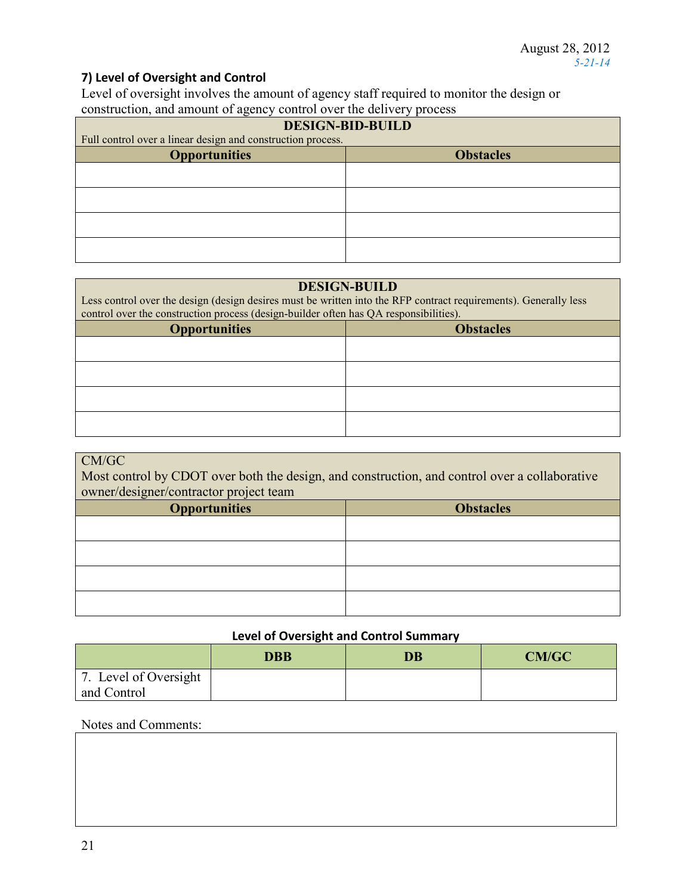## **7) Level of Oversight and Control**

Level of oversight involves the amount of agency staff required to monitor the design or construction, and amount of agency control over the delivery process

| . .<br><b>DESIGN-BID-BUILD</b>                              |  |  |
|-------------------------------------------------------------|--|--|
| Full control over a linear design and construction process. |  |  |
| <b>Obstacles</b><br><b>Opportunities</b>                    |  |  |
|                                                             |  |  |
|                                                             |  |  |
|                                                             |  |  |
|                                                             |  |  |
|                                                             |  |  |
|                                                             |  |  |

#### **DESIGN-BUILD**

Less control over the design (design desires must be written into the RFP contract requirements). Generally less control over the construction process (design-builder often has QA responsibilities).

| <b>Opportunities</b> | <b>Obstacles</b> |  |
|----------------------|------------------|--|
|                      |                  |  |
|                      |                  |  |
|                      |                  |  |
|                      |                  |  |
|                      |                  |  |

| CM/GC<br>Most control by CDOT over both the design, and construction, and control over a collaborative<br>owner/designer/contractor project team |  |  |  |
|--------------------------------------------------------------------------------------------------------------------------------------------------|--|--|--|
| <b>Opportunities</b><br><b>Obstacles</b>                                                                                                         |  |  |  |
|                                                                                                                                                  |  |  |  |
|                                                                                                                                                  |  |  |  |
|                                                                                                                                                  |  |  |  |
|                                                                                                                                                  |  |  |  |

#### **Level of Oversight and Control Summary**

|                       | <b>DBB</b> | <b>DB</b> | <b>CM/GC</b> |
|-----------------------|------------|-----------|--------------|
| 7. Level of Oversight |            |           |              |
| and Control           |            |           |              |

#### Notes and Comments: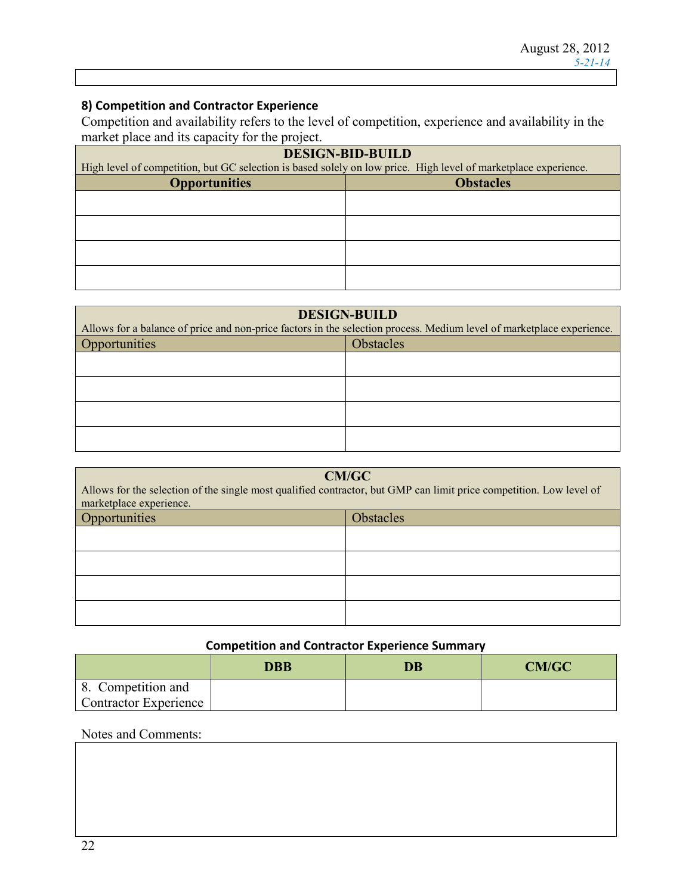### **8) Competition and Contractor Experience**

Competition and availability refers to the level of competition, experience and availability in the market place and its capacity for the project.

| <b>DESIGN-BID-BUILD</b>                                                                                         |  |  |  |
|-----------------------------------------------------------------------------------------------------------------|--|--|--|
| High level of competition, but GC selection is based solely on low price. High level of marketplace experience. |  |  |  |
| <b>Opportunities</b><br><b>Obstacles</b>                                                                        |  |  |  |
|                                                                                                                 |  |  |  |
|                                                                                                                 |  |  |  |
|                                                                                                                 |  |  |  |
|                                                                                                                 |  |  |  |
|                                                                                                                 |  |  |  |
|                                                                                                                 |  |  |  |

| <b>DESIGN-BUILD</b>                                                                                                   |                  |  |  |
|-----------------------------------------------------------------------------------------------------------------------|------------------|--|--|
| Allows for a balance of price and non-price factors in the selection process. Medium level of marketplace experience. |                  |  |  |
| Opportunities                                                                                                         | <b>Obstacles</b> |  |  |
|                                                                                                                       |                  |  |  |
|                                                                                                                       |                  |  |  |
|                                                                                                                       |                  |  |  |
|                                                                                                                       |                  |  |  |
|                                                                                                                       |                  |  |  |

| <b>CM/GC</b><br>Allows for the selection of the single most qualified contractor, but GMP can limit price competition. Low level of<br>marketplace experience. |  |  |
|----------------------------------------------------------------------------------------------------------------------------------------------------------------|--|--|
| Opportunities<br><b>Obstacles</b>                                                                                                                              |  |  |
|                                                                                                                                                                |  |  |
|                                                                                                                                                                |  |  |
|                                                                                                                                                                |  |  |
|                                                                                                                                                                |  |  |

## **Competition and Contractor Experience Summary**

|                       | <b>DBB</b> | <b>DB</b> | CM/GC |
|-----------------------|------------|-----------|-------|
| 8. Competition and    |            |           |       |
| Contractor Experience |            |           |       |

## Notes and Comments: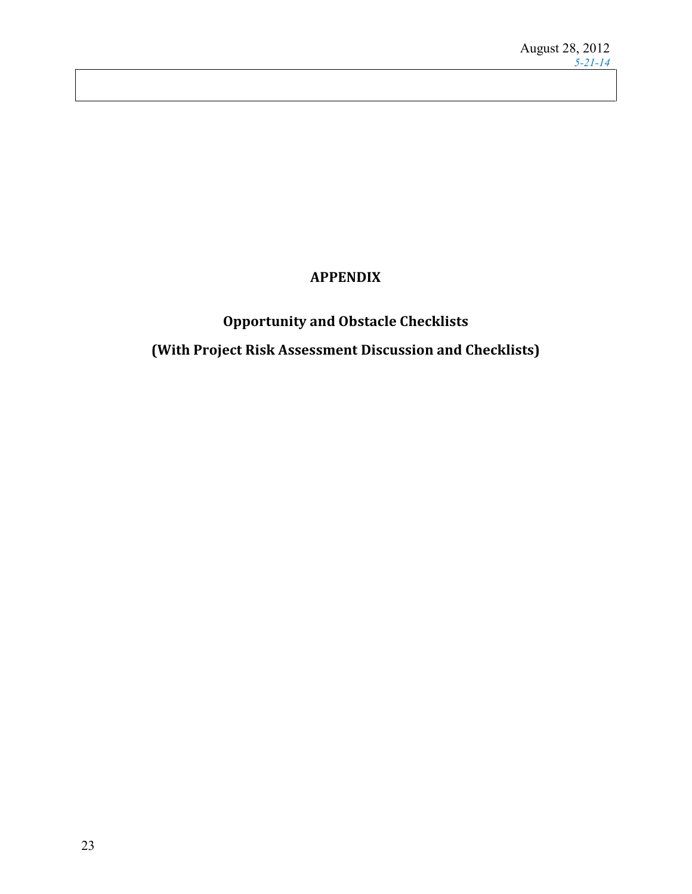## **APPENDIX**

# **Opportunity and Obstacle Checklists (With Project Risk Assessment Discussion and Checklists)**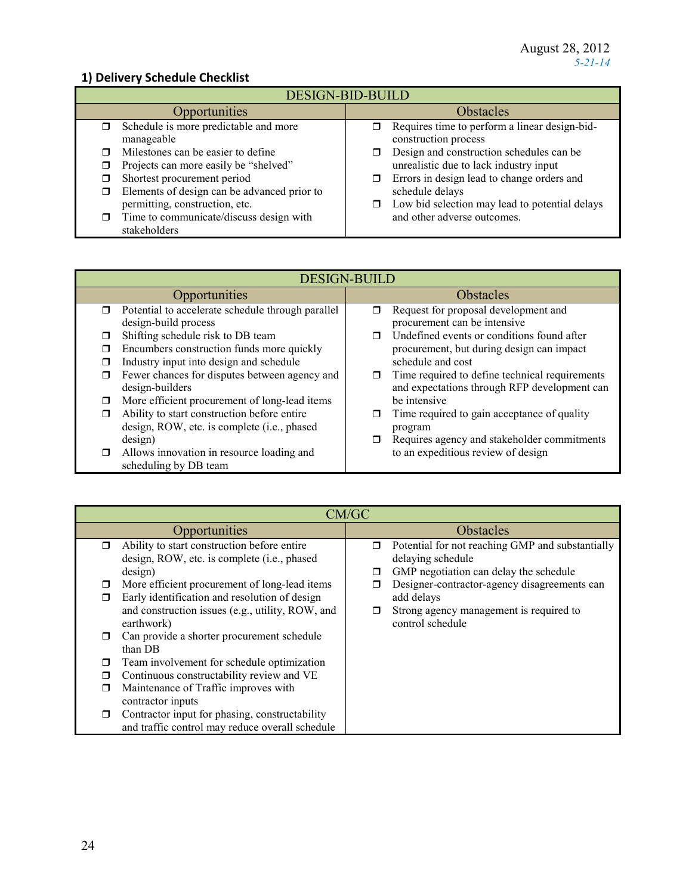## **1) Delivery Schedule Checklist**

| <b>DESIGN-BID-BUILD</b>                          |                                                         |  |  |
|--------------------------------------------------|---------------------------------------------------------|--|--|
| Opportunities                                    | <b>Obstacles</b>                                        |  |  |
| Schedule is more predictable and more            | Requires time to perform a linear design-bid-<br>$\Box$ |  |  |
| manageable                                       | construction process                                    |  |  |
| Milestones can be easier to define               | Design and construction schedules can be                |  |  |
| Projects can more easily be "shelved"            | unrealistic due to lack industry input                  |  |  |
| Shortest procurement period                      | Errors in design lead to change orders and<br>σ         |  |  |
| Elements of design can be advanced prior to<br>□ | schedule delays                                         |  |  |
| permitting, construction, etc.                   | Low bid selection may lead to potential delays<br>σ.    |  |  |
| Time to communicate/discuss design with          | and other adverse outcomes.                             |  |  |
| stakeholders                                     |                                                         |  |  |

|        | <b>DESIGN-BUILD</b>                               |                  |                                                |  |
|--------|---------------------------------------------------|------------------|------------------------------------------------|--|
|        | <b>Opportunities</b>                              | <b>Obstacles</b> |                                                |  |
| $\Box$ | Potential to accelerate schedule through parallel | π                | Request for proposal development and           |  |
|        | design-build process                              |                  | procurement can be intensive                   |  |
| Π      | Shifting schedule risk to DB team                 |                  | Undefined events or conditions found after     |  |
| □      | Encumbers construction funds more quickly         |                  | procurement, but during design can impact      |  |
| П      | Industry input into design and schedule           |                  | schedule and cost                              |  |
| ◘      | Fewer chances for disputes between agency and     | σ                | Time required to define technical requirements |  |
|        | design-builders                                   |                  | and expectations through RFP development can   |  |
| ◘      | More efficient procurement of long-lead items     |                  | be intensive                                   |  |
| $\Box$ | Ability to start construction before entire       |                  | Time required to gain acceptance of quality    |  |
|        | design, ROW, etc. is complete (i.e., phased       |                  | program                                        |  |
|        | design)                                           |                  | Requires agency and stakeholder commitments    |  |
| ◘      | Allows innovation in resource loading and         |                  | to an expeditious review of design             |  |
|        | scheduling by DB team                             |                  |                                                |  |

|        | CM/GC                                            |           |                                                  |  |
|--------|--------------------------------------------------|-----------|--------------------------------------------------|--|
|        | Opportunities                                    | Obstacles |                                                  |  |
| $\Box$ | Ability to start construction before entire      | $\Box$    | Potential for not reaching GMP and substantially |  |
|        | design, ROW, etc. is complete (i.e., phased      |           | delaying schedule                                |  |
|        | design)                                          | □         | GMP negotiation can delay the schedule           |  |
| □      | More efficient procurement of long-lead items    |           | Designer-contractor-agency disagreements can     |  |
| $\Box$ | Early identification and resolution of design    |           | add delays                                       |  |
|        | and construction issues (e.g., utility, ROW, and | $\Box$    | Strong agency management is required to          |  |
|        | earthwork)                                       |           | control schedule                                 |  |
| σ      | Can provide a shorter procurement schedule       |           |                                                  |  |
|        | than DB                                          |           |                                                  |  |
| □      | Team involvement for schedule optimization       |           |                                                  |  |
| □      | Continuous constructability review and VE        |           |                                                  |  |
| ◘      | Maintenance of Traffic improves with             |           |                                                  |  |
|        | contractor inputs                                |           |                                                  |  |
| $\Box$ | Contractor input for phasing, constructability   |           |                                                  |  |
|        | and traffic control may reduce overall schedule  |           |                                                  |  |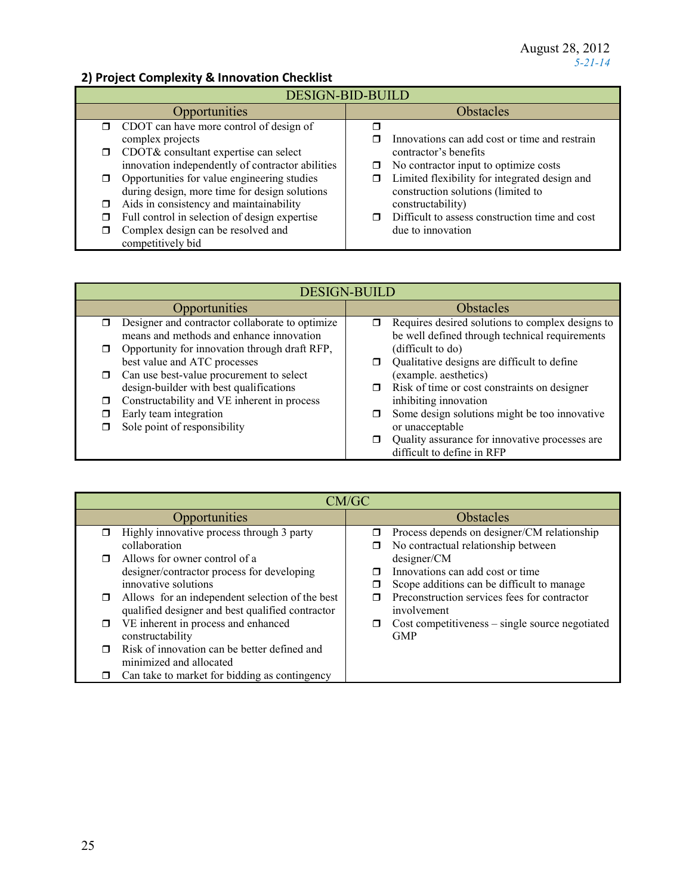## **2) Project Complexity & Innovation Checklist**

| <b>DESIGN-BID-BUILD</b> |                                                  |                  |                                                |
|-------------------------|--------------------------------------------------|------------------|------------------------------------------------|
|                         | <b>Opportunities</b>                             | <b>Obstacles</b> |                                                |
|                         | $\Box$ CDOT can have more control of design of   |                  |                                                |
|                         | complex projects                                 |                  | Innovations can add cost or time and restrain  |
| $\Box$                  | CDOT& consultant expertise can select            |                  | contractor's benefits                          |
|                         | innovation independently of contractor abilities | $\Box$           | No contractor input to optimize costs          |
|                         | Opportunities for value engineering studies      |                  | Limited flexibility for integrated design and  |
|                         | during design, more time for design solutions    |                  | construction solutions (limited to             |
|                         | Aids in consistency and maintainability          |                  | constructability)                              |
|                         | Full control in selection of design expertise    |                  | Difficult to assess construction time and cost |
|                         | Complex design can be resolved and               |                  | due to innovation                              |
|                         | competitively bid                                |                  |                                                |

|   | <b>DESIGN-BUILD</b>                                                                         |  |                                                                                                    |  |
|---|---------------------------------------------------------------------------------------------|--|----------------------------------------------------------------------------------------------------|--|
|   | <b>Opportunities</b>                                                                        |  | <b>Obstacles</b>                                                                                   |  |
| ⊓ | Designer and contractor collaborate to optimize<br>means and methods and enhance innovation |  | Requires desired solutions to complex designs to<br>be well defined through technical requirements |  |
|   | Opportunity for innovation through draft RFP,                                               |  | (difficult to do)                                                                                  |  |
|   | best value and ATC processes                                                                |  | Qualitative designs are difficult to define                                                        |  |
| □ | Can use best-value procurement to select                                                    |  | (example. aesthetics)                                                                              |  |
|   | design-builder with best qualifications                                                     |  | Risk of time or cost constraints on designer                                                       |  |
|   | Constructability and VE inherent in process                                                 |  | inhibiting innovation                                                                              |  |
|   | Early team integration                                                                      |  | Some design solutions might be too innovative                                                      |  |
|   | Sole point of responsibility                                                                |  | or unacceptable                                                                                    |  |
|   |                                                                                             |  | Quality assurance for innovative processes are                                                     |  |
|   |                                                                                             |  | difficult to define in RFP                                                                         |  |

|        | CM/GC                                                                                               |   |                                                                                               |  |
|--------|-----------------------------------------------------------------------------------------------------|---|-----------------------------------------------------------------------------------------------|--|
|        | Opportunities                                                                                       |   | <b>Obstacles</b>                                                                              |  |
|        | Highly innovative process through 3 party<br>collaboration                                          | □ | Process depends on designer/CM relationship<br>No contractual relationship between            |  |
|        | Allows for owner control of a<br>designer/contractor process for developing<br>innovative solutions |   | designer/CM<br>Innovations can add cost or time<br>Scope additions can be difficult to manage |  |
| $\Box$ | Allows for an independent selection of the best<br>qualified designer and best qualified contractor |   | Preconstruction services fees for contractor<br>involvement                                   |  |
|        | VE inherent in process and enhanced<br>constructability                                             |   | $Cost$ competitiveness – single source negotiated<br><b>GMP</b>                               |  |
|        | Risk of innovation can be better defined and<br>minimized and allocated                             |   |                                                                                               |  |
|        | Can take to market for bidding as contingency                                                       |   |                                                                                               |  |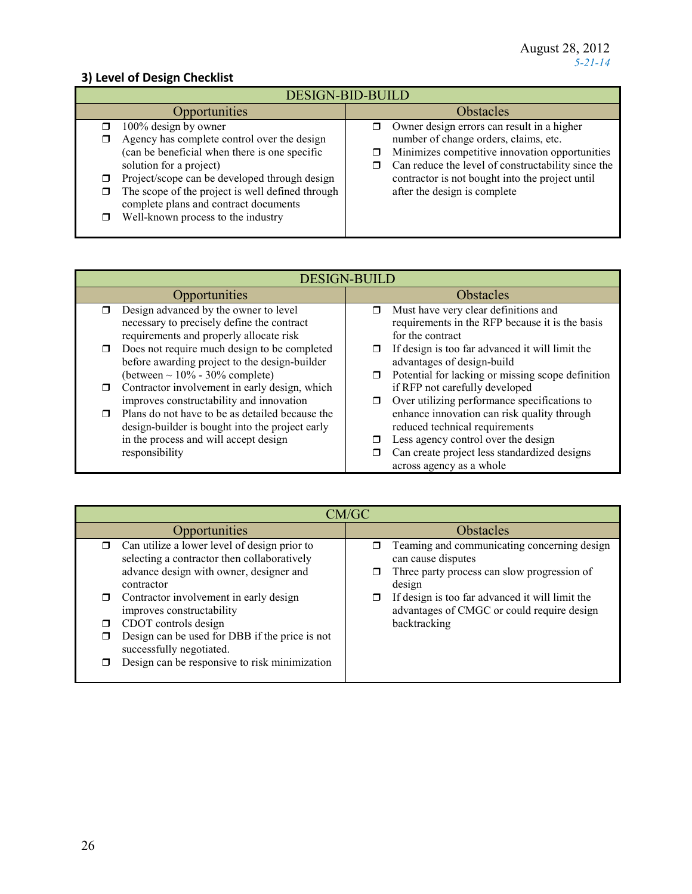## **3) Level of Design Checklist**

| <b>DESIGN-BID-BUILD</b>                                                                                                                                                                                                                                                                                                                                      |                                                                                                                                                                                                                                                                                     |  |  |
|--------------------------------------------------------------------------------------------------------------------------------------------------------------------------------------------------------------------------------------------------------------------------------------------------------------------------------------------------------------|-------------------------------------------------------------------------------------------------------------------------------------------------------------------------------------------------------------------------------------------------------------------------------------|--|--|
| <b>Opportunities</b>                                                                                                                                                                                                                                                                                                                                         | <b>Obstacles</b>                                                                                                                                                                                                                                                                    |  |  |
| 100% design by owner<br>$\Box$<br>Agency has complete control over the design<br>⊓<br>(can be beneficial when there is one specific<br>solution for a project)<br>Project/scope can be developed through design<br>The scope of the project is well defined through<br>◘<br>complete plans and contract documents<br>Well-known process to the industry<br>⊓ | Owner design errors can result in a higher<br>number of change orders, claims, etc.<br>Minimizes competitive innovation opportunities<br>Can reduce the level of constructability since the<br>σ<br>contractor is not bought into the project until<br>after the design is complete |  |  |

| <b>DESIGN-BUILD</b>                                                                                                                                           |                                                                                                                                                                                                            |  |
|---------------------------------------------------------------------------------------------------------------------------------------------------------------|------------------------------------------------------------------------------------------------------------------------------------------------------------------------------------------------------------|--|
| Opportunities                                                                                                                                                 | <b>Obstacles</b>                                                                                                                                                                                           |  |
| Design advanced by the owner to level<br>necessary to precisely define the contract<br>requirements and properly allocate risk                                | Must have very clear definitions and<br>⊓<br>requirements in the RFP because it is the basis<br>for the contract                                                                                           |  |
| Does not require much design to be completed<br>before awarding project to the design-builder<br>(between $\sim 10\%$ - 30% complete)                         | If design is too far advanced it will limit the<br>□<br>advantages of design-build<br>Potential for lacking or missing scope definition<br>□                                                               |  |
| Contractor involvement in early design, which<br>improves constructability and innovation                                                                     | if RFP not carefully developed<br>Over utilizing performance specifications to<br>◘                                                                                                                        |  |
| Plans do not have to be as detailed because the<br>design-builder is bought into the project early<br>in the process and will accept design<br>responsibility | enhance innovation can risk quality through<br>reduced technical requirements<br>Less agency control over the design<br>□<br>Can create project less standardized designs<br>⊓<br>across agency as a whole |  |

| CM/GC                                                                                                                                                                                                                                                                                                                                                                                        |                                                                                                                                                                                                                                             |  |  |
|----------------------------------------------------------------------------------------------------------------------------------------------------------------------------------------------------------------------------------------------------------------------------------------------------------------------------------------------------------------------------------------------|---------------------------------------------------------------------------------------------------------------------------------------------------------------------------------------------------------------------------------------------|--|--|
| Opportunities                                                                                                                                                                                                                                                                                                                                                                                | <b>Obstacles</b>                                                                                                                                                                                                                            |  |  |
| Can utilize a lower level of design prior to<br>$\Box$<br>selecting a contractor then collaboratively<br>advance design with owner, designer and<br>contractor<br>Contractor involvement in early design<br>improves constructability<br>CDOT controls design<br>Design can be used for DBB if the price is not<br>successfully negotiated.<br>Design can be responsive to risk minimization | Teaming and communicating concerning design<br>can cause disputes<br>Three party process can slow progression of<br>design<br>If design is too far advanced it will limit the<br>advantages of CMGC or could require design<br>backtracking |  |  |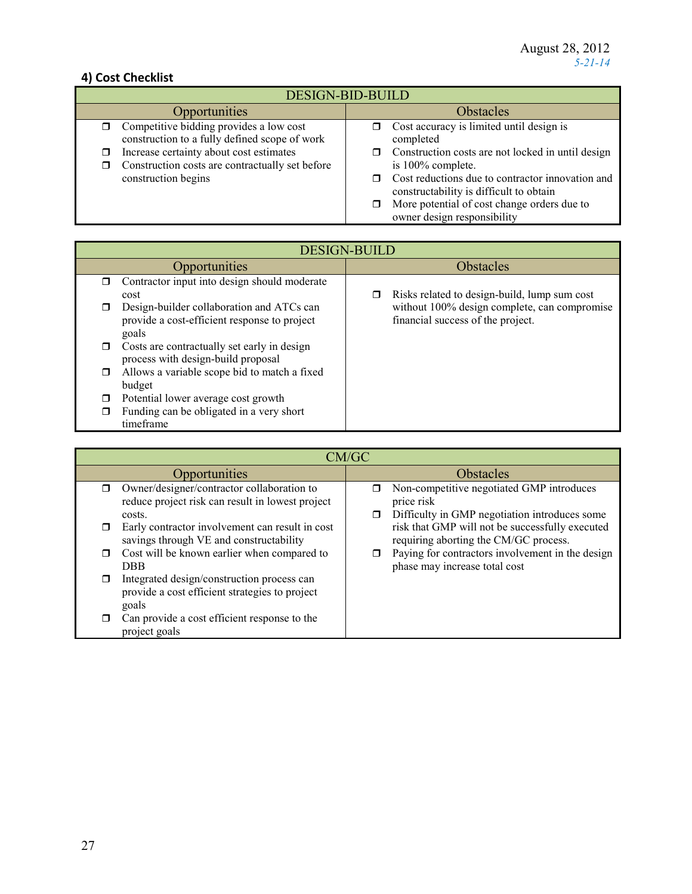## **4) Cost Checklist**

| <b>DESIGN-BID-BUILD</b>                                                                              |                                                                                             |  |  |
|------------------------------------------------------------------------------------------------------|---------------------------------------------------------------------------------------------|--|--|
| Opportunities                                                                                        | <b>Obstacles</b>                                                                            |  |  |
| Competitive bidding provides a low cost<br>σ.<br>construction to a fully defined scope of work       | Cost accuracy is limited until design is<br>completed                                       |  |  |
| Increase certainty about cost estimates<br>σ<br>Construction costs are contractually set before<br>⊓ | Construction costs are not locked in until design<br>is 100% complete.                      |  |  |
| construction begins                                                                                  | Cost reductions due to contractor innovation and<br>constructability is difficult to obtain |  |  |
|                                                                                                      | More potential of cost change orders due to<br>owner design responsibility                  |  |  |

|        | <b>DESIGN-BUILD</b>                                                                                |   |                                                                                   |  |
|--------|----------------------------------------------------------------------------------------------------|---|-----------------------------------------------------------------------------------|--|
|        | Opportunities                                                                                      |   | <b>Obstacles</b>                                                                  |  |
| ⊓      | Contractor input into design should moderate<br>cost                                               | □ | Risks related to design-build, lump sum cost                                      |  |
| $\Box$ | Design-builder collaboration and ATCs can<br>provide a cost-efficient response to project<br>goals |   | without 100% design complete, can compromise<br>financial success of the project. |  |
| П      | Costs are contractually set early in design<br>process with design-build proposal                  |   |                                                                                   |  |
| $\Box$ | Allows a variable scope bid to match a fixed<br>budget                                             |   |                                                                                   |  |
|        | Potential lower average cost growth                                                                |   |                                                                                   |  |
|        | Funding can be obligated in a very short<br>timeframe                                              |   |                                                                                   |  |

|   | CM/GC                                                                                                    |             |                                                                                                          |
|---|----------------------------------------------------------------------------------------------------------|-------------|----------------------------------------------------------------------------------------------------------|
|   | Opportunities                                                                                            |             | <b>Obstacles</b>                                                                                         |
| ⊓ | Owner/designer/contractor collaboration to<br>reduce project risk can result in lowest project<br>costs. | π<br>$\Box$ | Non-competitive negotiated GMP introduces<br>price risk<br>Difficulty in GMP negotiation introduces some |
|   | Early contractor involvement can result in cost<br>savings through VE and constructability               |             | risk that GMP will not be successfully executed<br>requiring aborting the CM/GC process.                 |
| ⊓ | Cost will be known earlier when compared to<br>DBB.                                                      |             | Paying for contractors involvement in the design<br>phase may increase total cost                        |
| П | Integrated design/construction process can<br>provide a cost efficient strategies to project<br>goals    |             |                                                                                                          |
|   | Can provide a cost efficient response to the<br>project goals                                            |             |                                                                                                          |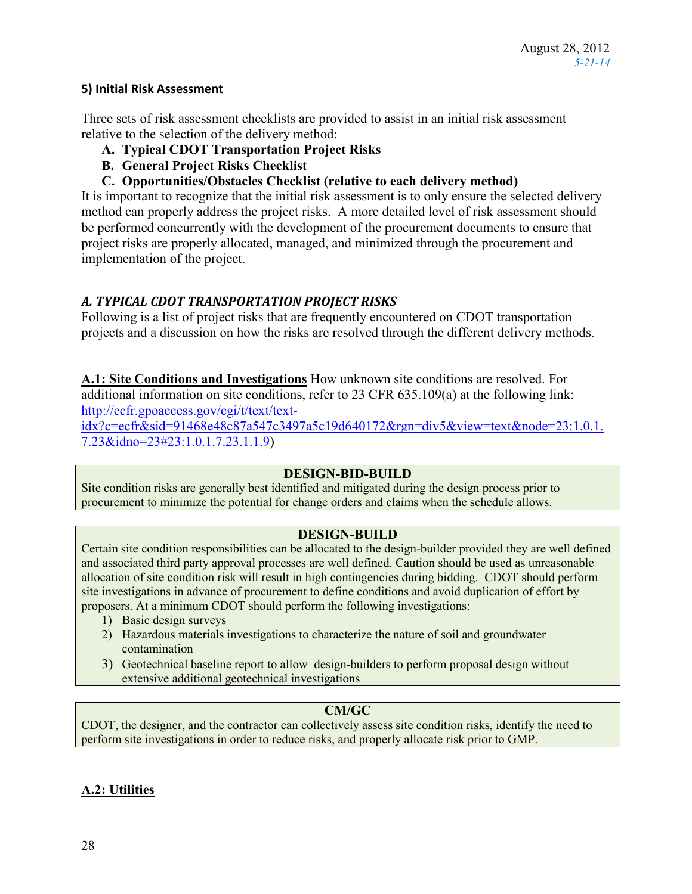### **5) Initial Risk Assessment**

Three sets of risk assessment checklists are provided to assist in an initial risk assessment relative to the selection of the delivery method:

- **A. Typical CDOT Transportation Project Risks**
- **B. General Project Risks Checklist**
- **C. Opportunities/Obstacles Checklist (relative to each delivery method)**

It is important to recognize that the initial risk assessment is to only ensure the selected delivery method can properly address the project risks. A more detailed level of risk assessment should be performed concurrently with the development of the procurement documents to ensure that project risks are properly allocated, managed, and minimized through the procurement and implementation of the project.

## *A. TYPICAL CDOT TRANSPORTATION PROJECT RISKS*

Following is a list of project risks that are frequently encountered on CDOT transportation projects and a discussion on how the risks are resolved through the different delivery methods.

**A.1: Site Conditions and Investigations** How unknown site conditions are resolved. For additional information on site conditions, refer to 23 CFR 635.109(a) at the following link: [http://ecfr.gpoaccess.gov/cgi/t/text/text-](http://ecfr.gpoaccess.gov/cgi/t/text/text-idx?c=ecfr&sid=91468e48c87a547c3497a5c19d640172&rgn=div5&view=text&node=23:1.0.1.7.23&idno=23#23:1.0.1.7.23.1.1.9)

[idx?c=ecfr&sid=91468e48c87a547c3497a5c19d640172&rgn=div5&view=text&node=23:1.0.1.](http://ecfr.gpoaccess.gov/cgi/t/text/text-idx?c=ecfr&sid=91468e48c87a547c3497a5c19d640172&rgn=div5&view=text&node=23:1.0.1.7.23&idno=23#23:1.0.1.7.23.1.1.9) [7.23&idno=23#23:1.0.1.7.23.1.1.9\)](http://ecfr.gpoaccess.gov/cgi/t/text/text-idx?c=ecfr&sid=91468e48c87a547c3497a5c19d640172&rgn=div5&view=text&node=23:1.0.1.7.23&idno=23#23:1.0.1.7.23.1.1.9)

### **DESIGN-BID-BUILD**

Site condition risks are generally best identified and mitigated during the design process prior to procurement to minimize the potential for change orders and claims when the schedule allows.

### **DESIGN-BUILD**

Certain site condition responsibilities can be allocated to the design-builder provided they are well defined and associated third party approval processes are well defined. Caution should be used as unreasonable allocation of site condition risk will result in high contingencies during bidding. CDOT should perform site investigations in advance of procurement to define conditions and avoid duplication of effort by proposers. At a minimum CDOT should perform the following investigations:

- 1) Basic design surveys
- 2) Hazardous materials investigations to characterize the nature of soil and groundwater contamination
- 3) Geotechnical baseline report to allow design-builders to perform proposal design without extensive additional geotechnical investigations

## **CM/GC**

CDOT, the designer, and the contractor can collectively assess site condition risks, identify the need to perform site investigations in order to reduce risks, and properly allocate risk prior to GMP.

## **A.2: Utilities**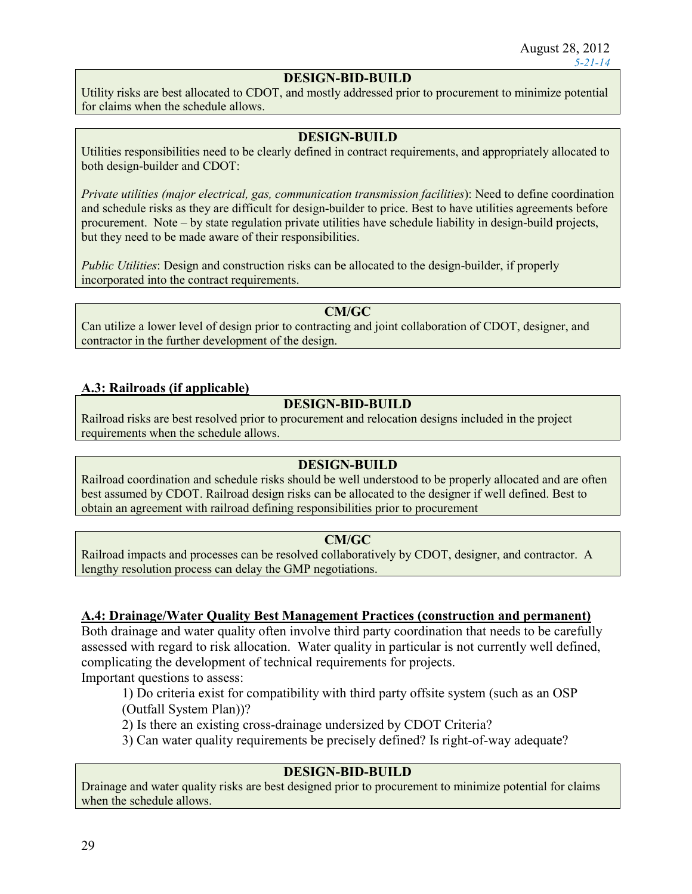## **DESIGN-BID-BUILD**

Utility risks are best allocated to CDOT, and mostly addressed prior to procurement to minimize potential for claims when the schedule allows.

### **DESIGN-BUILD**

Utilities responsibilities need to be clearly defined in contract requirements, and appropriately allocated to both design-builder and CDOT:

*Private utilities (major electrical, gas, communication transmission facilities*): Need to define coordination and schedule risks as they are difficult for design-builder to price. Best to have utilities agreements before procurement. Note – by state regulation private utilities have schedule liability in design-build projects, but they need to be made aware of their responsibilities.

*Public Utilities*: Design and construction risks can be allocated to the design-builder, if properly incorporated into the contract requirements.

#### **CM/GC**

Can utilize a lower level of design prior to contracting and joint collaboration of CDOT, designer, and contractor in the further development of the design.

### **A.3: Railroads (if applicable)**

### **DESIGN-BID-BUILD**

Railroad risks are best resolved prior to procurement and relocation designs included in the project requirements when the schedule allows.

### **DESIGN-BUILD**

Railroad coordination and schedule risks should be well understood to be properly allocated and are often best assumed by CDOT. Railroad design risks can be allocated to the designer if well defined. Best to obtain an agreement with railroad defining responsibilities prior to procurement

#### **CM/GC**

Railroad impacts and processes can be resolved collaboratively by CDOT, designer, and contractor. A lengthy resolution process can delay the GMP negotiations.

#### **A.4: Drainage/Water Quality Best Management Practices (construction and permanent)**

Both drainage and water quality often involve third party coordination that needs to be carefully assessed with regard to risk allocation. Water quality in particular is not currently well defined, complicating the development of technical requirements for projects.

Important questions to assess:

1) Do criteria exist for compatibility with third party offsite system (such as an OSP

(Outfall System Plan))?

2) Is there an existing cross-drainage undersized by CDOT Criteria?

3) Can water quality requirements be precisely defined? Is right-of-way adequate?

### **DESIGN-BID-BUILD**

Drainage and water quality risks are best designed prior to procurement to minimize potential for claims when the schedule allows.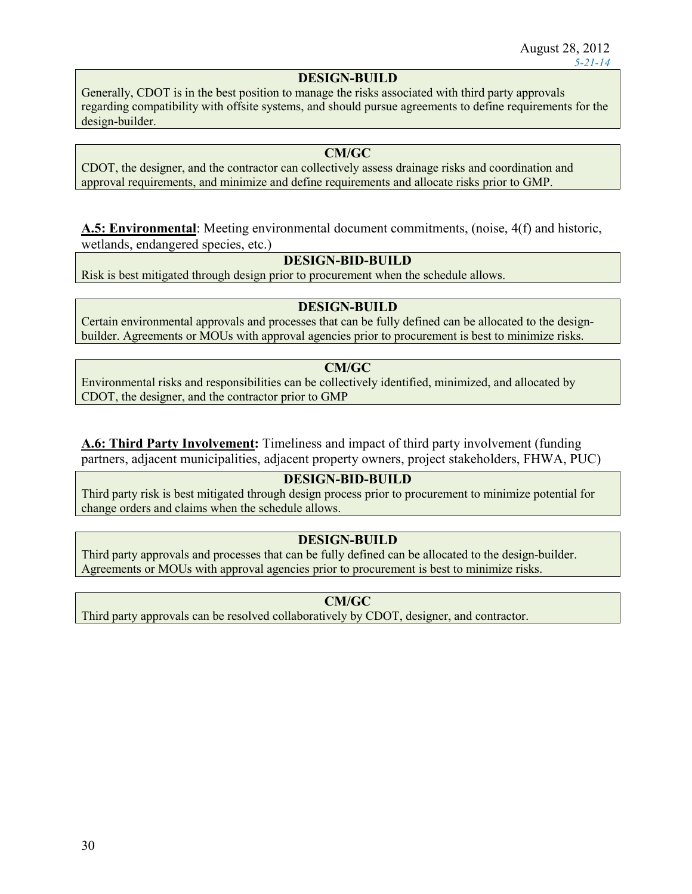### **DESIGN-BUILD**

Generally, CDOT is in the best position to manage the risks associated with third party approvals regarding compatibility with offsite systems, and should pursue agreements to define requirements for the design-builder.

### **CM/GC**

CDOT, the designer, and the contractor can collectively assess drainage risks and coordination and approval requirements, and minimize and define requirements and allocate risks prior to GMP.

**A.5: Environmental**: Meeting environmental document commitments, (noise, 4(f) and historic, wetlands, endangered species, etc.)

### **DESIGN-BID-BUILD**

Risk is best mitigated through design prior to procurement when the schedule allows.

### **DESIGN-BUILD**

Certain environmental approvals and processes that can be fully defined can be allocated to the designbuilder. Agreements or MOUs with approval agencies prior to procurement is best to minimize risks.

### **CM/GC**

Environmental risks and responsibilities can be collectively identified, minimized, and allocated by CDOT, the designer, and the contractor prior to GMP

**A.6: Third Party Involvement:** Timeliness and impact of third party involvement (funding partners, adjacent municipalities, adjacent property owners, project stakeholders, FHWA, PUC)

### **DESIGN-BID-BUILD**

Third party risk is best mitigated through design process prior to procurement to minimize potential for change orders and claims when the schedule allows.

### **DESIGN-BUILD**

Third party approvals and processes that can be fully defined can be allocated to the design-builder. Agreements or MOUs with approval agencies prior to procurement is best to minimize risks.

**CM/GC**

Third party approvals can be resolved collaboratively by CDOT, designer, and contractor.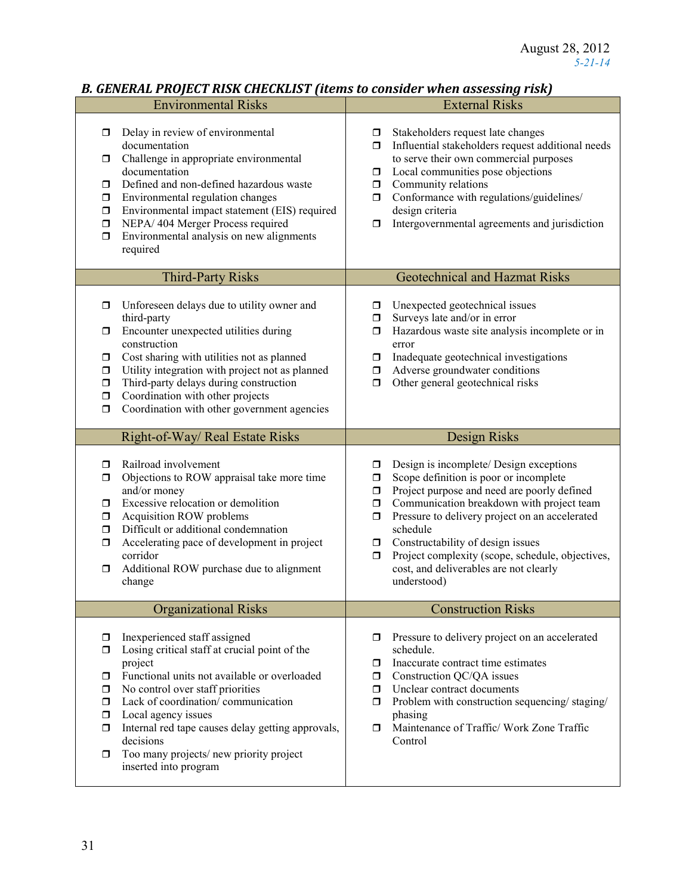## *B. GENERAL PROJECT RISK CHECKLIST (items to consider when assessing risk)*

|                                                     | <b>Environmental Risks</b>                                                                                                                                                                                                                                                                                                                                                     |                                                        | <b>External Risks</b>                                                                                                                                                                                                                                                                                                                                                                         |
|-----------------------------------------------------|--------------------------------------------------------------------------------------------------------------------------------------------------------------------------------------------------------------------------------------------------------------------------------------------------------------------------------------------------------------------------------|--------------------------------------------------------|-----------------------------------------------------------------------------------------------------------------------------------------------------------------------------------------------------------------------------------------------------------------------------------------------------------------------------------------------------------------------------------------------|
| α.<br>σ.<br>ο.<br>0<br>0<br>$\Box$<br>$\Box$        | Delay in review of environmental<br>documentation<br>Challenge in appropriate environmental<br>documentation<br>Defined and non-defined hazardous waste<br>Environmental regulation changes<br>Environmental impact statement (EIS) required<br>NEPA/404 Merger Process required<br>Environmental analysis on new alignments<br>required                                       | □<br>$\Box$<br>$\Box$<br>$\Box$<br>$\Box$<br>$\Box$    | Stakeholders request late changes<br>Influential stakeholders request additional needs<br>to serve their own commercial purposes<br>Local communities pose objections<br>Community relations<br>Conformance with regulations/guidelines/<br>design criteria<br>Intergovernmental agreements and jurisdiction                                                                                  |
|                                                     | <b>Third-Party Risks</b>                                                                                                                                                                                                                                                                                                                                                       |                                                        | <b>Geotechnical and Hazmat Risks</b>                                                                                                                                                                                                                                                                                                                                                          |
| □<br>$\Box$<br>0<br>0<br>$\Box$<br>$\Box$<br>$\Box$ | Unforeseen delays due to utility owner and<br>third-party<br>Encounter unexpected utilities during<br>construction<br>Cost sharing with utilities not as planned<br>Utility integration with project not as planned<br>Third-party delays during construction<br>Coordination with other projects<br>Coordination with other government agencies                               | □<br>$\Box$<br>$\Box$<br>σ.<br>σ.<br>Π.                | Unexpected geotechnical issues<br>Surveys late and/or in error<br>Hazardous waste site analysis incomplete or in<br>error<br>Inadequate geotechnical investigations<br>Adverse groundwater conditions<br>Other general geotechnical risks                                                                                                                                                     |
|                                                     | Right-of-Way/ Real Estate Risks                                                                                                                                                                                                                                                                                                                                                |                                                        | Design Risks                                                                                                                                                                                                                                                                                                                                                                                  |
| 0<br>$\Box$<br>$\Box$<br>σ.<br>$\Box$<br>0<br>□     | Railroad involvement<br>Objections to ROW appraisal take more time<br>and/or money<br>Excessive relocation or demolition<br>Acquisition ROW problems<br>Difficult or additional condemnation<br>Accelerating pace of development in project<br>corridor<br>Additional ROW purchase due to alignment<br>change                                                                  | σ.<br>$\Box$<br>$\Box$<br>$\Box$<br>ο.<br>$\Box$<br>ο. | Design is incomplete/ Design exceptions<br>Scope definition is poor or incomplete<br>Project purpose and need are poorly defined<br>Communication breakdown with project team<br>Pressure to delivery project on an accelerated<br>schedule<br>Constructability of design issues<br>Project complexity (scope, schedule, objectives,<br>cost, and deliverables are not clearly<br>understood) |
|                                                     | <b>Organizational Risks</b>                                                                                                                                                                                                                                                                                                                                                    |                                                        | <b>Construction Risks</b>                                                                                                                                                                                                                                                                                                                                                                     |
| 0<br>σ<br>$\Box$<br>0<br>ο.<br>ο.<br>α.<br>0        | Inexperienced staff assigned<br>Losing critical staff at crucial point of the<br>project<br>Functional units not available or overloaded<br>No control over staff priorities<br>Lack of coordination/communication<br>Local agency issues<br>Internal red tape causes delay getting approvals,<br>decisions<br>Too many projects/new priority project<br>inserted into program | σ<br>σ.<br>$\Box$<br>π.<br>Ω.                          | Pressure to delivery project on an accelerated<br>schedule.<br>Inaccurate contract time estimates<br>Construction QC/QA issues<br>Unclear contract documents<br>Problem with construction sequencing/staging/<br>phasing<br>Maintenance of Traffic/ Work Zone Traffic<br>Control                                                                                                              |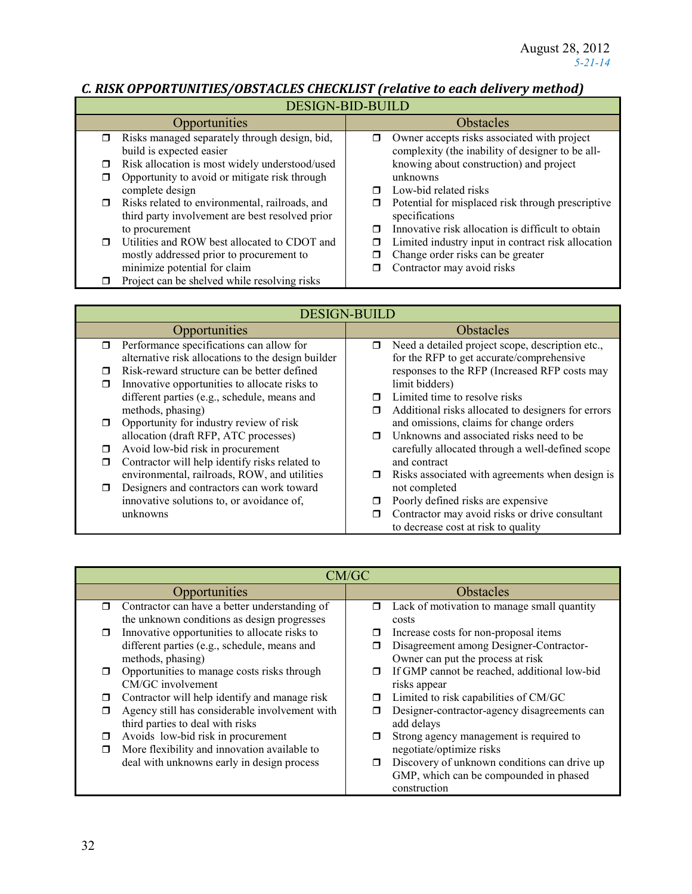$\overline{\phantom{a}}$ 

# *C. RISK OPPORTUNITIES/OBSTACLES CHECKLIST (relative to each delivery method)*

| <b>DESIGN-BID-BUILD</b> |                                                                                                   |   |                                                                                                 |
|-------------------------|---------------------------------------------------------------------------------------------------|---|-------------------------------------------------------------------------------------------------|
|                         | <b>Opportunities</b>                                                                              |   | <b>Obstacles</b>                                                                                |
| $\Box$                  | Risks managed separately through design, bid,<br>build is expected easier                         | σ | Owner accepts risks associated with project<br>complexity (the inability of designer to be all- |
| ◻                       | Risk allocation is most widely understood/used                                                    |   | knowing about construction) and project                                                         |
| ◻                       | Opportunity to avoid or mitigate risk through                                                     |   | unknowns                                                                                        |
|                         | complete design                                                                                   | ⊓ | Low-bid related risks                                                                           |
| $\Box$                  | Risks related to environmental, railroads, and<br>third party involvement are best resolved prior | □ | Potential for misplaced risk through prescriptive<br>specifications                             |
|                         | to procurement                                                                                    |   | Innovative risk allocation is difficult to obtain                                               |
| ⊓                       | Utilities and ROW best allocated to CDOT and                                                      | □ | Limited industry input in contract risk allocation                                              |
|                         | mostly addressed prior to procurement to                                                          |   | Change order risks can be greater                                                               |
|                         | minimize potential for claim                                                                      |   | Contractor may avoid risks                                                                      |
|                         | Project can be shelved while resolving risks                                                      |   |                                                                                                 |

| <b>DESIGN-BUILD</b>                                |                                                         |  |
|----------------------------------------------------|---------------------------------------------------------|--|
| Opportunities                                      | Obstacles                                               |  |
| Performance specifications can allow for<br>$\Box$ | Need a detailed project scope, description etc.,<br>σ   |  |
| alternative risk allocations to the design builder | for the RFP to get accurate/comprehensive               |  |
| Risk-reward structure can be better defined<br>П   | responses to the RFP (Increased RFP costs may           |  |
| Innovative opportunities to allocate risks to      | limit bidders)                                          |  |
| different parties (e.g., schedule, means and       | Limited time to resolve risks<br>⊓                      |  |
| methods, phasing)                                  | Additional risks allocated to designers for errors<br>π |  |
| Opportunity for industry review of risk<br>$\Box$  | and omissions, claims for change orders                 |  |
| allocation (draft RFP, ATC processes)              | Unknowns and associated risks need to be<br>⊓           |  |
| Avoid low-bid risk in procurement<br>П             | carefully allocated through a well-defined scope        |  |
| Contractor will help identify risks related to     | and contract                                            |  |
| environmental, railroads, ROW, and utilities       | Risks associated with agreements when design is<br>□    |  |
| Designers and contractors can work toward<br>⊓     | not completed                                           |  |
| innovative solutions to, or avoidance of,          | Poorly defined risks are expensive<br>□                 |  |
| unknowns                                           | Contractor may avoid risks or drive consultant<br>Ω     |  |
|                                                    | to decrease cost at risk to quality                     |  |

| CM/GC  |                                                |                  |                                              |
|--------|------------------------------------------------|------------------|----------------------------------------------|
|        | Opportunities                                  | <b>Obstacles</b> |                                              |
| $\Box$ | Contractor can have a better understanding of  | $\Box$           | Lack of motivation to manage small quantity  |
|        | the unknown conditions as design progresses    |                  | costs                                        |
| $\Box$ | Innovative opportunities to allocate risks to  | ⊓                | Increase costs for non-proposal items        |
|        | different parties (e.g., schedule, means and   |                  | Disagreement among Designer-Contractor-      |
|        | methods, phasing)                              |                  | Owner can put the process at risk            |
| $\Box$ | Opportunities to manage costs risks through    | $\Box$           | If GMP cannot be reached, additional low-bid |
|        | CM/GC involvement                              |                  | risks appear                                 |
| П      | Contractor will help identify and manage risk  | ⊓                | Limited to risk capabilities of CM/GC        |
| ⊓      | Agency still has considerable involvement with |                  | Designer-contractor-agency disagreements can |
|        | third parties to deal with risks               |                  | add delays                                   |
| П      | Avoids low-bid risk in procurement             | п                | Strong agency management is required to      |
| $\Box$ | More flexibility and innovation available to   |                  | negotiate/optimize risks                     |
|        | deal with unknowns early in design process     | $\Box$           | Discovery of unknown conditions can drive up |
|        |                                                |                  | GMP, which can be compounded in phased       |
|        |                                                |                  | construction                                 |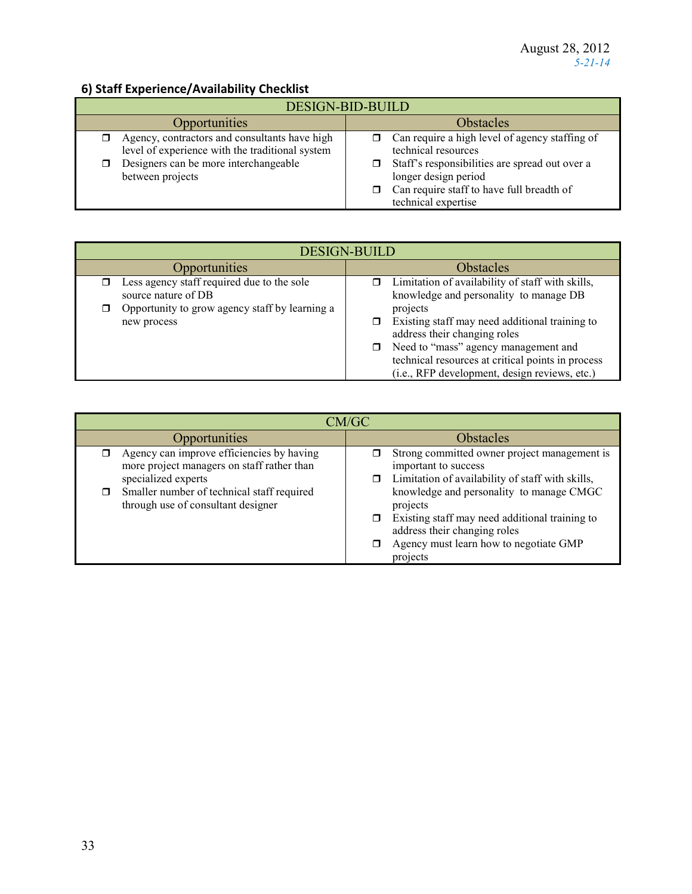# **6) Staff Experience/Availability Checklist**

| <b>O) Start Experience/Availability Checkilst</b>                                                                                         |                                                                                                                         |  |
|-------------------------------------------------------------------------------------------------------------------------------------------|-------------------------------------------------------------------------------------------------------------------------|--|
| <b>DESIGN-BID-BUILD</b>                                                                                                                   |                                                                                                                         |  |
| Opportunities                                                                                                                             | <b>Obstacles</b>                                                                                                        |  |
| Agency, contractors and consultants have high<br>level of experience with the traditional system<br>Designers can be more interchangeable | Can require a high level of agency staffing of<br>technical resources<br>Staff's responsibilities are spread out over a |  |
| between projects                                                                                                                          | longer design period<br>Can require staff to have full breadth of<br>technical expertise                                |  |

| <b>DESIGN-BUILD</b>                                               |                                                                                                                                                                                                                                                |  |
|-------------------------------------------------------------------|------------------------------------------------------------------------------------------------------------------------------------------------------------------------------------------------------------------------------------------------|--|
| Opportunities                                                     | <b>Obstacles</b>                                                                                                                                                                                                                               |  |
| Less agency staff required due to the sole<br>source nature of DB | Limitation of availability of staff with skills,<br>π.<br>knowledge and personality to manage DB                                                                                                                                               |  |
| Opportunity to grow agency staff by learning a<br>new process     | projects<br>Existing staff may need additional training to<br>address their changing roles<br>Need to "mass" agency management and<br>0.<br>technical resources at critical points in process<br>(i.e., RFP development, design reviews, etc.) |  |

| CM/GC                                                                                                          |                                                                                                                                                                                                   |  |
|----------------------------------------------------------------------------------------------------------------|---------------------------------------------------------------------------------------------------------------------------------------------------------------------------------------------------|--|
| Opportunities                                                                                                  | <b>Obstacles</b>                                                                                                                                                                                  |  |
| Agency can improve efficiencies by having<br>more project managers on staff rather than<br>specialized experts | Strong committed owner project management is<br>important to success<br>Limitation of availability of staff with skills,<br>σ                                                                     |  |
| Smaller number of technical staff required<br>through use of consultant designer                               | knowledge and personality to manage CMGC<br>projects<br>Existing staff may need additional training to<br>⊓<br>address their changing roles<br>Agency must learn how to negotiate GMP<br>projects |  |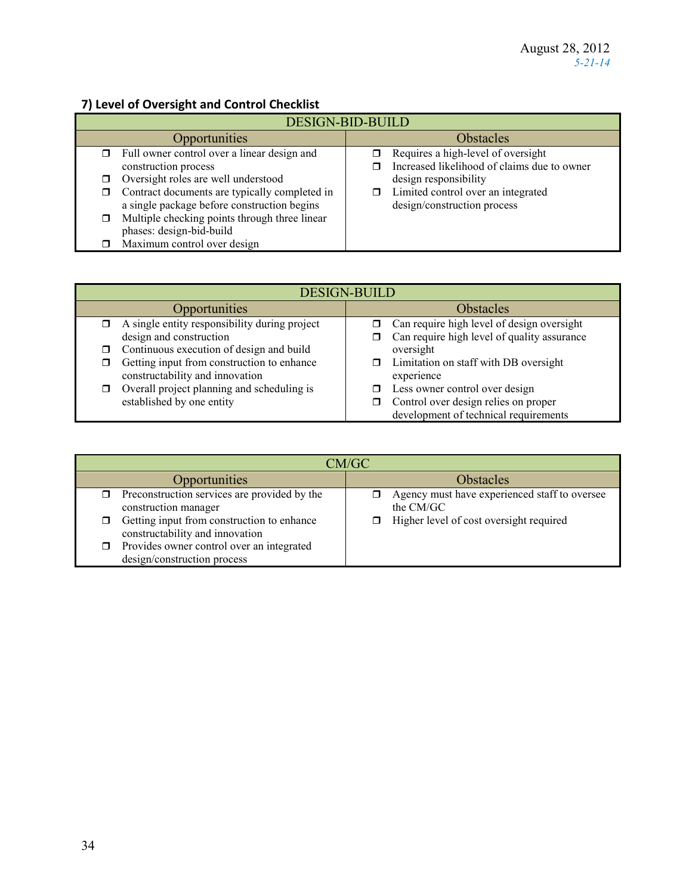## **7) Level of Oversight and Control Checklist**

| <b>DESIGN-BID-BUILD</b>                                                                           |                                                                                   |  |
|---------------------------------------------------------------------------------------------------|-----------------------------------------------------------------------------------|--|
| Opportunities                                                                                     | <b>Obstacles</b>                                                                  |  |
| Full owner control over a linear design and<br>σ.<br>construction process                         | Requires a high-level of oversight<br>Increased likelihood of claims due to owner |  |
| Oversight roles are well understood<br>□                                                          | design responsibility                                                             |  |
| Contract documents are typically completed in<br>□<br>a single package before construction begins | Limited control over an integrated<br>$\Box$<br>design/construction process       |  |
| Multiple checking points through three linear<br>0<br>phases: design-bid-build                    |                                                                                   |  |
| Maximum control over design                                                                       |                                                                                   |  |

| <b>DESIGN-BUILD</b>                                 |                                                  |  |
|-----------------------------------------------------|--------------------------------------------------|--|
| <b>Opportunities</b>                                | <b>Obstacles</b>                                 |  |
| A single entity responsibility during project<br>σ. | Can require high level of design oversight<br>π. |  |
| design and construction                             | Can require high level of quality assurance      |  |
| $\Box$ Continuous execution of design and build     | oversight                                        |  |
| Getting input from construction to enhance          | $\Box$ Limitation on staff with DB oversight     |  |
| constructability and innovation                     | experience                                       |  |
| Overall project planning and scheduling is<br>□     | Less owner control over design<br>⊓              |  |
| established by one entity                           | Control over design relies on proper             |  |
|                                                     | development of technical requirements            |  |

| CM/GC                                                                         |                                                            |  |
|-------------------------------------------------------------------------------|------------------------------------------------------------|--|
| <b>Opportunities</b>                                                          | <b>Obstacles</b>                                           |  |
| Preconstruction services are provided by the<br>construction manager          | Agency must have experienced staff to oversee<br>the CM/GC |  |
| Getting input from construction to enhance<br>constructability and innovation | Higher level of cost oversight required                    |  |
| Provides owner control over an integrated<br>⊓<br>design/construction process |                                                            |  |